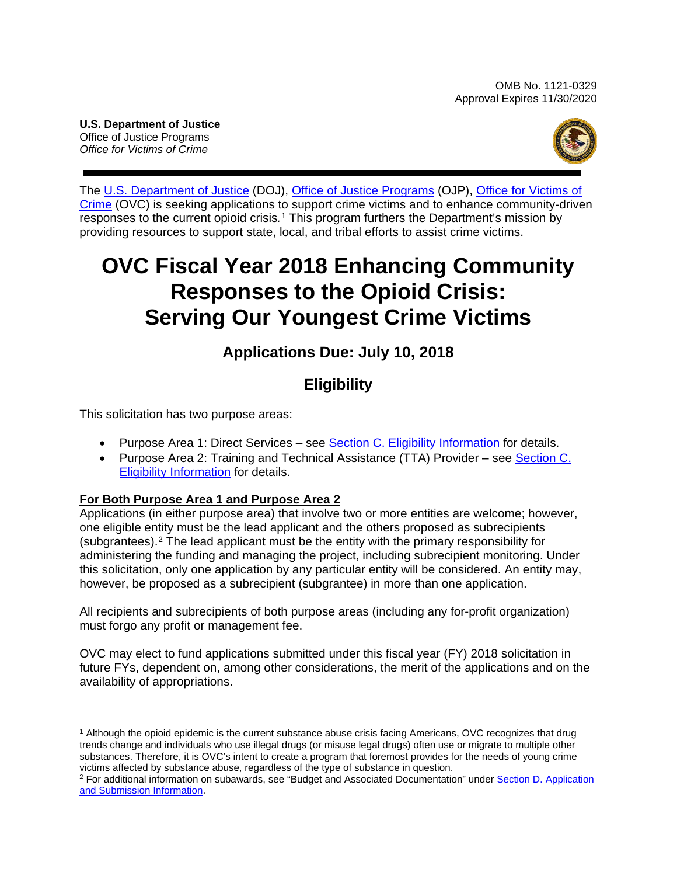**U.S. Department of Justice** Office of Justice Programs *Office for Victims of Crime*



The U.S. [Department of Justice](https://www.usdoj.gov/) (DOJ), [Office of Justice Programs](https://www.ojp.gov/) (OJP), [Office for Victims of](http://www.ovc.gov/)  [Crime](http://www.ovc.gov/) (OVC) is seeking applications to support crime victims and to enhance community-driven responses to the current opioid crisis*.*[1](#page-0-0) This program furthers the Department's mission by providing resources to support state, local, and tribal efforts to assist crime victims.

# **OVC Fiscal Year 2018 Enhancing Community Responses to the Opioid Crisis: Serving Our Youngest Crime Victims**

# **Applications Due: July 10, 2018**

# **Eligibility**

This solicitation has two purpose areas:

- Purpose Area 1: Direct Services see [Section C. Eligibility Information](#page-13-0) for details.
- Purpose Area 2: Training and Technical Assistance (TTA) Provider see Section C. [Eligibility Information](#page-13-0) for details.

# **For Both Purpose Area 1 and Purpose Area 2**

Applications (in either purpose area) that involve two or more entities are welcome; however, one eligible entity must be the lead applicant and the others proposed as subrecipients (subgrantees).[2](#page-0-1) The lead applicant must be the entity with the primary responsibility for administering the funding and managing the project, including subrecipient monitoring. Under this solicitation, only one application by any particular entity will be considered. An entity may, however, be proposed as a subrecipient (subgrantee) in more than one application.

All recipients and subrecipients of both purpose areas (including any for-profit organization) must forgo any profit or management fee.

OVC may elect to fund applications submitted under this fiscal year (FY) 2018 solicitation in future FYs, dependent on, among other considerations, the merit of the applications and on the availability of appropriations.

<span id="page-0-0"></span> $\overline{a}$ <sup>1</sup> Although the opioid epidemic is the current substance abuse crisis facing Americans, OVC recognizes that drug trends change and individuals who use illegal drugs (or misuse legal drugs) often use or migrate to multiple other substances. Therefore, it is OVC's intent to create a program that foremost provides for the needs of young crime victims affected by substance abuse, regardless of the type of substance in question.

<span id="page-0-1"></span><sup>&</sup>lt;sup>2</sup> For additional information on subawards, see "Budget and Associated Documentation" under Section D. Application [and Submission Information.](#page-14-0)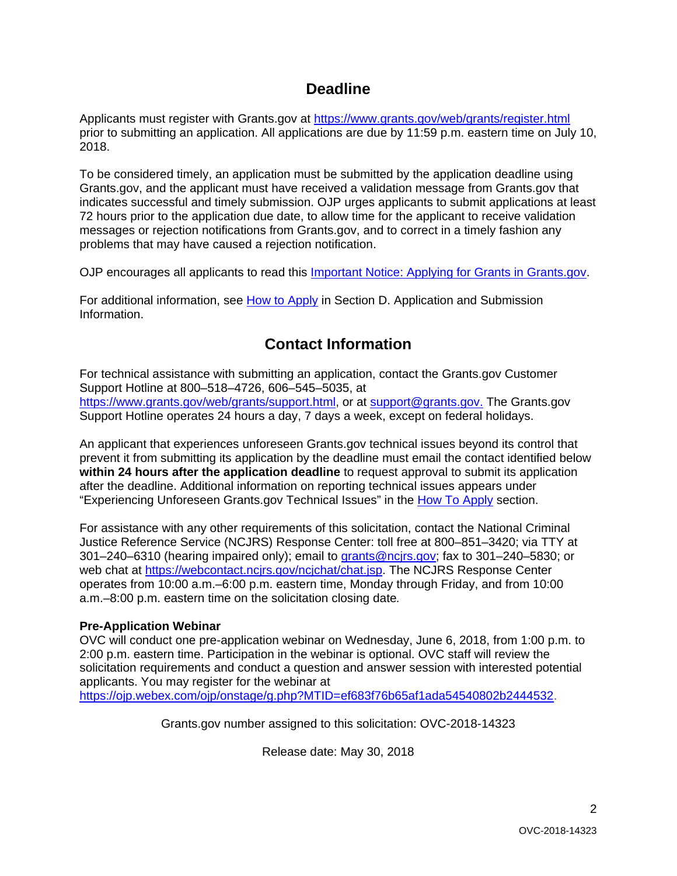# **Deadline**

Applicants must register with Grants.gov at <https://www.grants.gov/web/grants/register.html> prior to submitting an application. All applications are due by 11:59 p.m. eastern time on July 10, 2018.

To be considered timely, an application must be submitted by the application deadline using Grants.gov, and the applicant must have received a validation message from Grants.gov that indicates successful and timely submission. OJP urges applicants to submit applications at least 72 hours prior to the application due date, to allow time for the applicant to receive validation messages or rejection notifications from Grants.gov, and to correct in a timely fashion any problems that may have caused a rejection notification.

OJP encourages all applicants to read this [Important Notice: Applying for Grants in Grants.gov.](https://ojp.gov/funding/Apply/Grants-govInfo.htm)

For additional information, see [How to Apply](#page-27-0) in Section [D. Application and Submission](#page-14-0)  [Information.](#page-14-0)

# **Contact Information**

For technical assistance with submitting an application, contact the Grants.gov Customer Support Hotline at 800–518–4726, 606–545–5035, at [https://www.grants.gov/web/grants/support.html,](https://www.grants.gov/web/grants/support.html) or at [support@grants.gov.](mailto:support@grants.gov) The Grants.gov Support Hotline operates 24 hours a day, 7 days a week, except on federal holidays.

An applicant that experiences unforeseen Grants.gov technical issues beyond its control that prevent it from submitting its application by the deadline must email the contact identified below **within 24 hours after the application deadline** to request approval to submit its application after the deadline. Additional information on reporting technical issues appears under "Experiencing Unforeseen Grants.gov Technical Issues" in the [How To Apply](#page-27-0) section.

For assistance with any other requirements of this solicitation, contact the National Criminal Justice Reference Service (NCJRS) Response Center: toll free at 800–851–3420; via TTY at 301–240–6310 (hearing impaired only); email to [grants@ncjrs.gov;](mailto:grants@ncjrs.gov) fax to 301–240–5830; or web chat at [https://webcontact.ncjrs.gov/ncjchat/chat.jsp.](https://webcontact.ncjrs.gov/ncjchat/chat.jsp) The NCJRS Response Center operates from 10:00 a.m.–6:00 p.m. eastern time, Monday through Friday, and from 10:00 a.m.–8:00 p.m. eastern time on the solicitation closing date*.*

# **Pre-Application Webinar**

OVC will conduct one pre-application webinar on Wednesday, June 6, 2018, from 1:00 p.m. to 2:00 p.m. eastern time. Participation in the webinar is optional. OVC staff will review the solicitation requirements and conduct a question and answer session with interested potential applicants. You may register for the webinar at [https://ojp.webex.com/ojp/onstage/g.php?MTID=ef683f76b65af1ada54540802b2444532.](https://ojp.webex.com/ojp/onstage/g.php?MTID=ef683f76b65af1ada54540802b2444532)

Grants.gov number assigned to this solicitation: OVC-2018-14323

Release date: May 30, 2018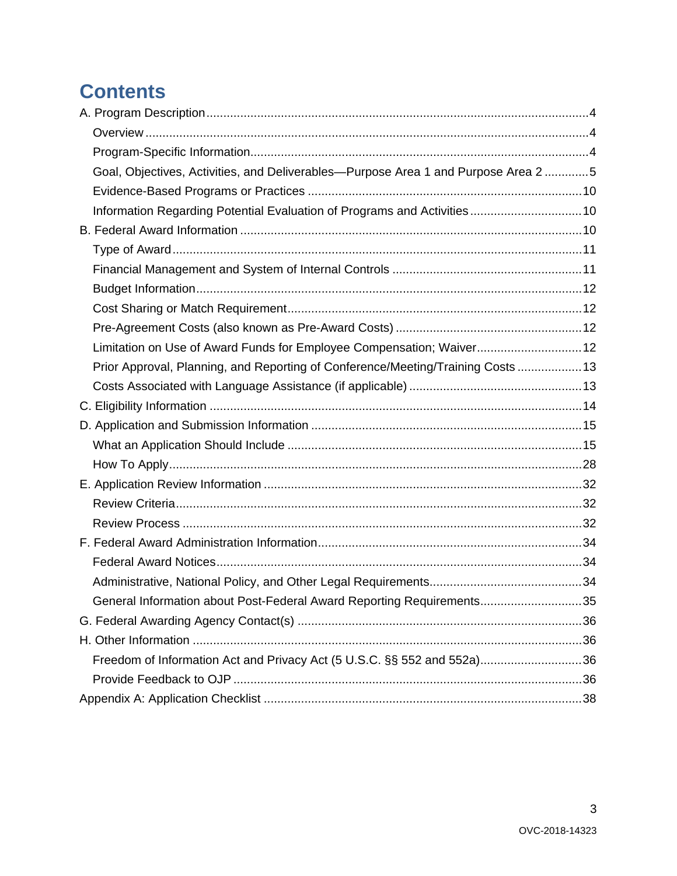# **Contents**

| Goal, Objectives, Activities, and Deliverables-Purpose Area 1 and Purpose Area 2 5 |  |
|------------------------------------------------------------------------------------|--|
|                                                                                    |  |
| Information Regarding Potential Evaluation of Programs and Activities 10           |  |
|                                                                                    |  |
|                                                                                    |  |
|                                                                                    |  |
|                                                                                    |  |
|                                                                                    |  |
|                                                                                    |  |
| Limitation on Use of Award Funds for Employee Compensation; Waiver 12              |  |
| Prior Approval, Planning, and Reporting of Conference/Meeting/Training Costs  13   |  |
|                                                                                    |  |
|                                                                                    |  |
|                                                                                    |  |
|                                                                                    |  |
|                                                                                    |  |
|                                                                                    |  |
|                                                                                    |  |
|                                                                                    |  |
|                                                                                    |  |
|                                                                                    |  |
|                                                                                    |  |
| General Information about Post-Federal Award Reporting Requirements35              |  |
|                                                                                    |  |
|                                                                                    |  |
| Freedom of Information Act and Privacy Act (5 U.S.C. §§ 552 and 552a)36            |  |
|                                                                                    |  |
|                                                                                    |  |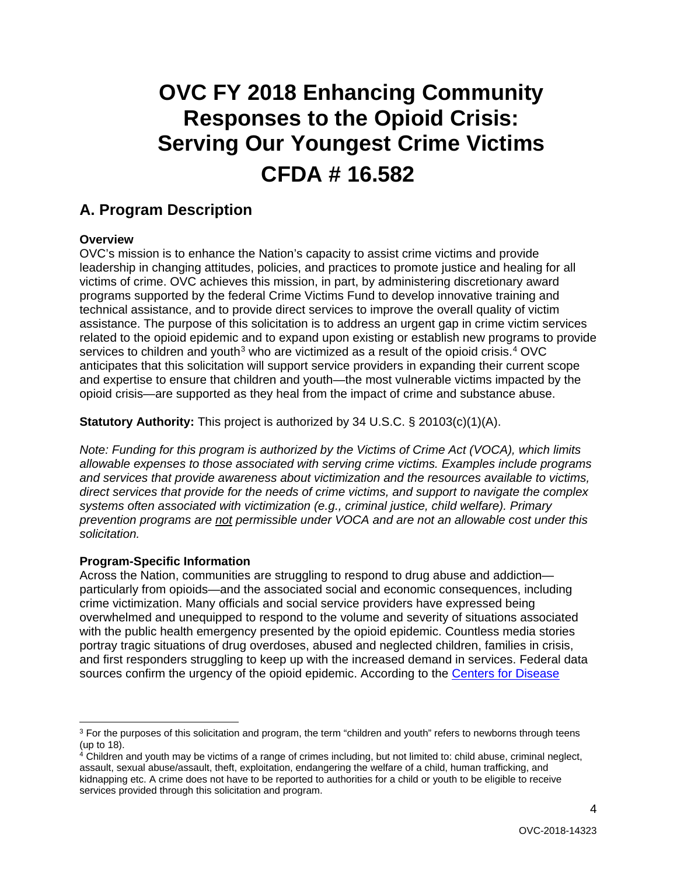# **OVC FY 2018 Enhancing Community Responses to the Opioid Crisis: Serving Our Youngest Crime Victims CFDA # 16.582**

# <span id="page-3-5"></span><span id="page-3-0"></span>**A. Program Description**

# <span id="page-3-1"></span>**Overview**

OVC's mission is to enhance the Nation's capacity to assist crime victims and provide leadership in changing attitudes, policies, and practices to promote justice and healing for all victims of crime. OVC achieves this mission, in part, by administering discretionary award programs supported by the federal Crime Victims Fund to develop innovative training and technical assistance, and to provide direct services to improve the overall quality of victim assistance. The purpose of this solicitation is to address an urgent gap in crime victim services related to the opioid epidemic and to expand upon existing or establish new programs to provide services to children and youth<sup>[3](#page-3-3)</sup> who are victimized as a result of the opioid crisis.<sup>[4](#page-3-4)</sup> OVC anticipates that this solicitation will support service providers in expanding their current scope and expertise to ensure that children and youth—the most vulnerable victims impacted by the opioid crisis—are supported as they heal from the impact of crime and substance abuse.

**Statutory Authority:** This project is authorized by 34 U.S.C. § 20103(c)(1)(A).

*Note: Funding for this program is authorized by the Victims of Crime Act (VOCA), which limits allowable expenses to those associated with serving crime victims. Examples include programs and services that provide awareness about victimization and the resources available to victims, direct services that provide for the needs of crime victims, and support to navigate the complex systems often associated with victimization (e.g., criminal justice, child welfare). Primary prevention programs are not permissible under VOCA and are not an allowable cost under this solicitation.* 

# <span id="page-3-2"></span>**Program-Specific Information**

 $\overline{a}$ 

Across the Nation, communities are struggling to respond to drug abuse and addiction particularly from opioids—and the associated social and economic consequences, including crime victimization. Many officials and social service providers have expressed being overwhelmed and unequipped to respond to the volume and severity of situations associated with the public health emergency presented by the opioid epidemic. Countless media stories portray tragic situations of drug overdoses, abused and neglected children, families in crisis, and first responders struggling to keep up with the increased demand in services. Federal data sources confirm the urgency of the opioid epidemic. According to the Centers for Disease

<span id="page-3-3"></span> $3$  For the purposes of this solicitation and program, the term "children and youth" refers to newborns through teens (up to 18).

<span id="page-3-4"></span><sup>4</sup> Children and youth may be victims of a range of crimes including, but not limited to: child abuse, criminal neglect, assault, sexual abuse/assault, theft, exploitation, endangering the welfare of a child, human trafficking, and kidnapping etc. A crime does not have to be reported to authorities for a child or youth to be eligible to receive services provided through this solicitation and program.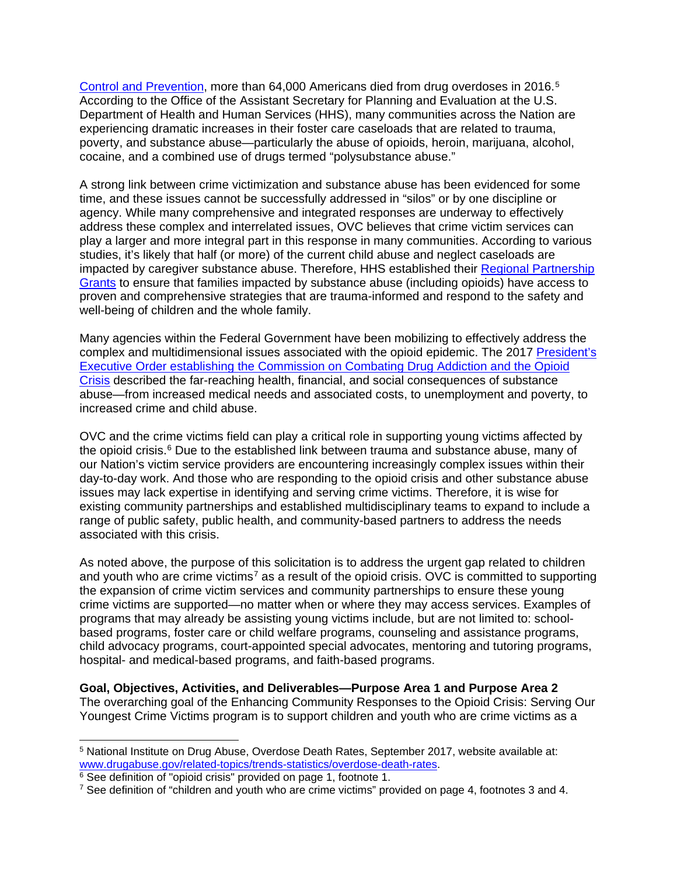[Control and Prevention,](https://www.drugabuse.gov/related-topics/trends-statistics/overdose-death-rates) more than 64,000 Americans died from drug overdoses in 2016.[5](#page-4-1) According to the Office of the Assistant Secretary for Planning and Evaluation at the U.S. Department of Health and Human Services (HHS), many communities across the Nation are experiencing dramatic increases in their foster care caseloads that are related to trauma, poverty, and substance abuse—particularly the abuse of opioids, heroin, marijuana, alcohol, cocaine, and a combined use of drugs termed "polysubstance abuse."

A strong link between crime victimization and substance abuse has been evidenced for some time, and these issues cannot be successfully addressed in "silos" or by one discipline or agency. While many comprehensive and integrated responses are underway to effectively address these complex and interrelated issues, OVC believes that crime victim services can play a larger and more integral part in this response in many communities. According to various studies, it's likely that half (or more) of the current child abuse and neglect caseloads are impacted by caregiver substance abuse. Therefore, HHS established their [Regional Partnership](https://ncsacw.samhsa.gov/technical/rpg-ii.aspx)  [Grants](https://ncsacw.samhsa.gov/technical/rpg-ii.aspx) to ensure that families impacted by substance abuse (including opioids) have access to proven and comprehensive strategies that are trauma-informed and respond to the safety and well-being of children and the whole family.

Many agencies within the Federal Government have been mobilizing to effectively address the complex and multidimensional issues associated with the opioid epidemic. The 2017 [President's](https://www.whitehouse.gov/ondcp/presidents-commission/) Executive Order establishing the [Commission on Combating Drug Addiction and the Opioid](https://www.whitehouse.gov/ondcp/presidents-commission/)  [Crisis](https://www.whitehouse.gov/ondcp/presidents-commission/) described the far-reaching health, financial, and social consequences of substance abuse—from increased medical needs and associated costs, to unemployment and poverty, to increased crime and child abuse.

OVC and the crime victims field can play a critical role in supporting young victims affected by the opioid crisis.<sup>[6](#page-4-2)</sup> Due to the established link between trauma and substance abuse, many of our Nation's victim service providers are encountering increasingly complex issues within their day-to-day work. And those who are responding to the opioid crisis and other substance abuse issues may lack expertise in identifying and serving crime victims. Therefore, it is wise for existing community partnerships and established multidisciplinary teams to expand to include a range of public safety, public health, and community-based partners to address the needs associated with this crisis.

As noted above, the purpose of this solicitation is to address the urgent gap related to children and youth who are crime victims<sup>[7](#page-4-3)</sup> as a result of the opioid crisis. OVC is committed to supporting the expansion of crime victim services and community partnerships to ensure these young crime victims are supported—no matter when or where they may access services. Examples of programs that may already be assisting young victims include, but are not limited to: schoolbased programs, foster care or child welfare programs, counseling and assistance programs, child advocacy programs, court-appointed special advocates, mentoring and tutoring programs, hospital- and medical-based programs, and faith-based programs.

<span id="page-4-0"></span>**Goal, Objectives, Activities, and Deliverables—Purpose Area 1 and Purpose Area 2** The overarching goal of the Enhancing Community Responses to the Opioid Crisis: Serving Our Youngest Crime Victims program is to support children and youth who are crime victims as a

<span id="page-4-1"></span> <sup>5</sup> National Institute on Drug Abuse, Overdose Death Rates, September 2017, website available at: [www.drugabuse.gov/related-topics/trends-statistics/overdose-death-rates.](http://www.drugabuse.gov/related-topics/trends-statistics/overdose-death-rates)

<span id="page-4-2"></span><sup>&</sup>lt;sup>6</sup> See definition of "opioid crisis" provided on page 1, footnote 1.

<span id="page-4-3"></span> $7$  See definition of "children and youth who are crime victims" provided on page 4, footnotes 3 and 4.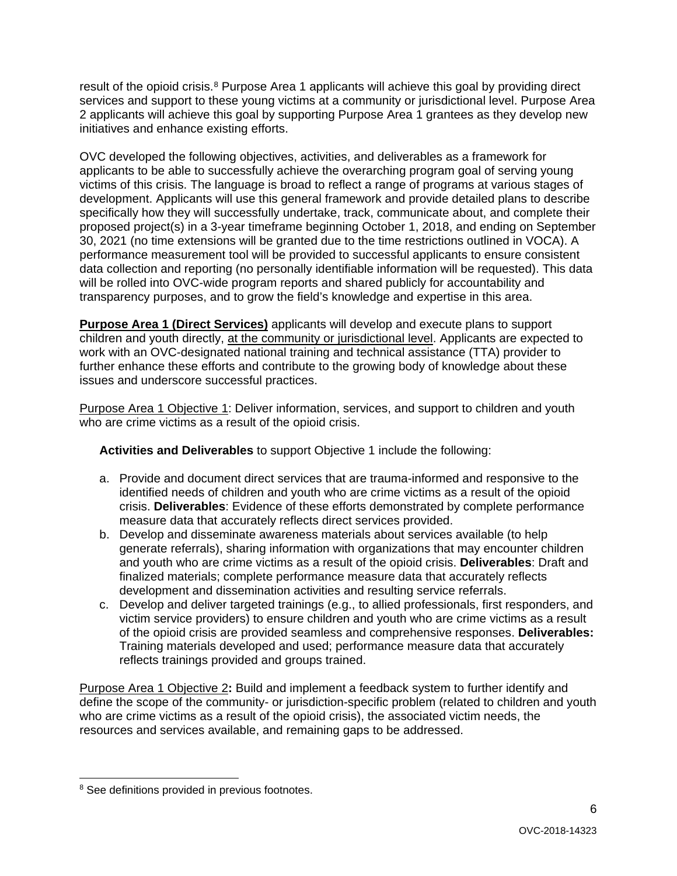result of the opioid crisis.<sup>[8](#page-5-0)</sup> Purpose Area 1 applicants will achieve this goal by providing direct services and support to these young victims at a community or jurisdictional level. Purpose Area 2 applicants will achieve this goal by supporting Purpose Area 1 grantees as they develop new initiatives and enhance existing efforts.

OVC developed the following objectives, activities, and deliverables as a framework for applicants to be able to successfully achieve the overarching program goal of serving young victims of this crisis. The language is broad to reflect a range of programs at various stages of development. Applicants will use this general framework and provide detailed plans to describe specifically how they will successfully undertake, track, communicate about, and complete their proposed project(s) in a 3-year timeframe beginning October 1, 2018, and ending on September 30, 2021 (no time extensions will be granted due to the time restrictions outlined in VOCA). A performance measurement tool will be provided to successful applicants to ensure consistent data collection and reporting (no personally identifiable information will be requested). This data will be rolled into OVC-wide program reports and shared publicly for accountability and transparency purposes, and to grow the field's knowledge and expertise in this area.

**Purpose Area 1 (Direct Services)** applicants will develop and execute plans to support children and youth directly, at the community or jurisdictional level. Applicants are expected to work with an OVC-designated national training and technical assistance (TTA) provider to further enhance these efforts and contribute to the growing body of knowledge about these issues and underscore successful practices.

Purpose Area 1 Objective 1: Deliver information, services, and support to children and youth who are crime victims as a result of the opioid crisis.

**Activities and Deliverables** to support Objective 1 include the following:

- a. Provide and document direct services that are trauma-informed and responsive to the identified needs of children and youth who are crime victims as a result of the opioid crisis. **Deliverables**: Evidence of these efforts demonstrated by complete performance measure data that accurately reflects direct services provided.
- b. Develop and disseminate awareness materials about services available (to help generate referrals), sharing information with organizations that may encounter children and youth who are crime victims as a result of the opioid crisis. **Deliverables**: Draft and finalized materials; complete performance measure data that accurately reflects development and dissemination activities and resulting service referrals.
- c. Develop and deliver targeted trainings (e.g., to allied professionals, first responders, and victim service providers) to ensure children and youth who are crime victims as a result of the opioid crisis are provided seamless and comprehensive responses. **Deliverables:** Training materials developed and used; performance measure data that accurately reflects trainings provided and groups trained.

Purpose Area 1 Objective 2**:** Build and implement a feedback system to further identify and define the scope of the community- or jurisdiction-specific problem (related to children and youth who are crime victims as a result of the opioid crisis), the associated victim needs, the resources and services available, and remaining gaps to be addressed.

<span id="page-5-0"></span><sup>&</sup>lt;sup>8</sup> See definitions provided in previous footnotes.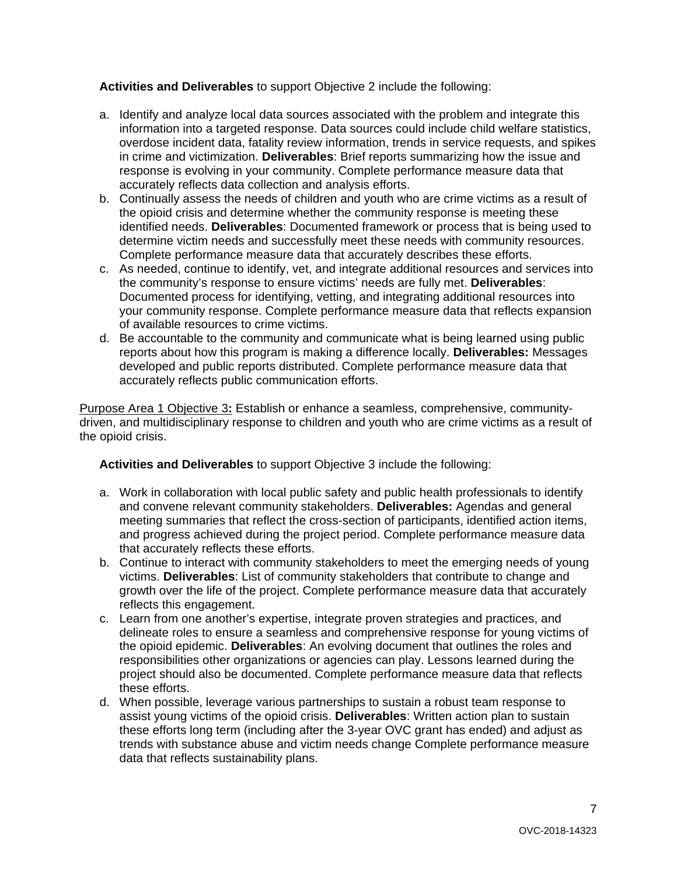**Activities and Deliverables** to support Objective 2 include the following:

- a. Identify and analyze local data sources associated with the problem and integrate this information into a targeted response. Data sources could include child welfare statistics, overdose incident data, fatality review information, trends in service requests, and spikes in crime and victimization. **Deliverables**: Brief reports summarizing how the issue and response is evolving in your community. Complete performance measure data that accurately reflects data collection and analysis efforts.
- b. Continually assess the needs of children and youth who are crime victims as a result of the opioid crisis and determine whether the community response is meeting these identified needs. **Deliverables**: Documented framework or process that is being used to determine victim needs and successfully meet these needs with community resources. Complete performance measure data that accurately describes these efforts.
- c. As needed, continue to identify, vet, and integrate additional resources and services into the community's response to ensure victims' needs are fully met. **Deliverables**: Documented process for identifying, vetting, and integrating additional resources into your community response. Complete performance measure data that reflects expansion of available resources to crime victims.
- d. Be accountable to the community and communicate what is being learned using public reports about how this program is making a difference locally. **Deliverables:** Messages developed and public reports distributed. Complete performance measure data that accurately reflects public communication efforts.

Purpose Area 1 Objective 3**:** Establish or enhance a seamless, comprehensive, communitydriven, and multidisciplinary response to children and youth who are crime victims as a result of the opioid crisis.

**Activities and Deliverables** to support Objective 3 include the following:

- a. Work in collaboration with local public safety and public health professionals to identify and convene relevant community stakeholders. **Deliverables:** Agendas and general meeting summaries that reflect the cross-section of participants, identified action items, and progress achieved during the project period. Complete performance measure data that accurately reflects these efforts.
- b. Continue to interact with community stakeholders to meet the emerging needs of young victims. **Deliverables**: List of community stakeholders that contribute to change and growth over the life of the project. Complete performance measure data that accurately reflects this engagement.
- c. Learn from one another's expertise, integrate proven strategies and practices, and delineate roles to ensure a seamless and comprehensive response for young victims of the opioid epidemic. **Deliverables**: An evolving document that outlines the roles and responsibilities other organizations or agencies can play. Lessons learned during the project should also be documented. Complete performance measure data that reflects these efforts.
- d. When possible, leverage various partnerships to sustain a robust team response to assist young victims of the opioid crisis. **Deliverables**: Written action plan to sustain these efforts long term (including after the 3-year OVC grant has ended) and adjust as trends with substance abuse and victim needs change Complete performance measure data that reflects sustainability plans.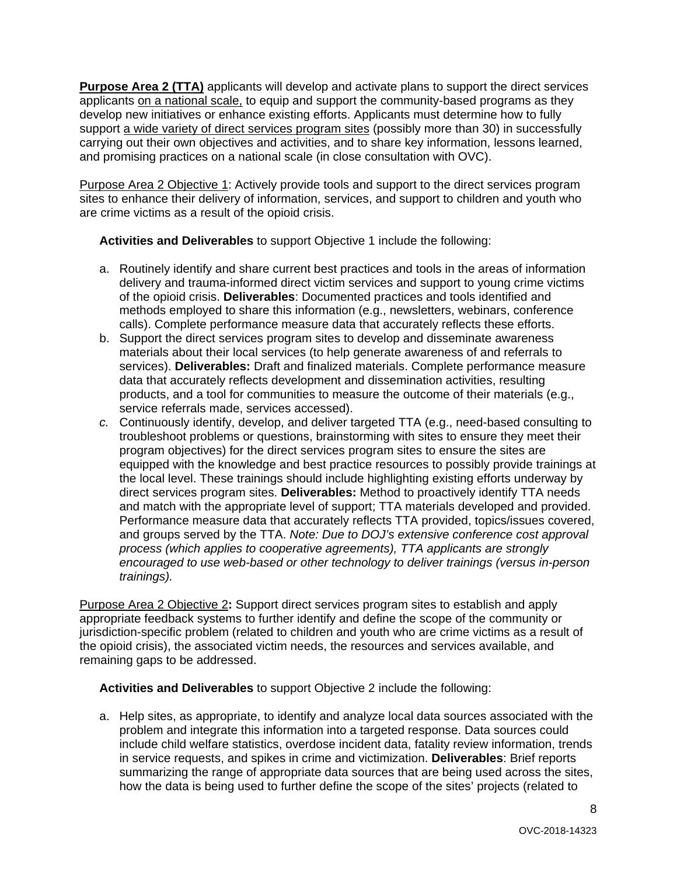**Purpose Area 2 (TTA)** applicants will develop and activate plans to support the direct services applicants on a national scale, to equip and support the community-based programs as they develop new initiatives or enhance existing efforts. Applicants must determine how to fully support a wide variety of direct services program sites (possibly more than 30) in successfully carrying out their own objectives and activities, and to share key information, lessons learned, and promising practices on a national scale (in close consultation with OVC).

Purpose Area 2 Objective 1: Actively provide tools and support to the direct services program sites to enhance their delivery of information, services, and support to children and youth who are crime victims as a result of the opioid crisis.

**Activities and Deliverables** to support Objective 1 include the following:

- a. Routinely identify and share current best practices and tools in the areas of information delivery and trauma-informed direct victim services and support to young crime victims of the opioid crisis. **Deliverables**: Documented practices and tools identified and methods employed to share this information (e.g., newsletters, webinars, conference calls). Complete performance measure data that accurately reflects these efforts.
- b. Support the direct services program sites to develop and disseminate awareness materials about their local services (to help generate awareness of and referrals to services). **Deliverables:** Draft and finalized materials. Complete performance measure data that accurately reflects development and dissemination activities, resulting products, and a tool for communities to measure the outcome of their materials (e.g., service referrals made, services accessed).
- *c.* Continuously identify, develop, and deliver targeted TTA (e.g., need-based consulting to troubleshoot problems or questions, brainstorming with sites to ensure they meet their program objectives) for the direct services program sites to ensure the sites are equipped with the knowledge and best practice resources to possibly provide trainings at the local level. These trainings should include highlighting existing efforts underway by direct services program sites. **Deliverables:** Method to proactively identify TTA needs and match with the appropriate level of support; TTA materials developed and provided. Performance measure data that accurately reflects TTA provided, topics/issues covered, and groups served by the TTA. *Note: Due to DOJ's extensive conference cost approval process (which applies to cooperative agreements), TTA applicants are strongly encouraged to use web-based or other technology to deliver trainings (versus in-person trainings).*

Purpose Area 2 Objective 2**:** Support direct services program sites to establish and apply appropriate feedback systems to further identify and define the scope of the community or jurisdiction-specific problem (related to children and youth who are crime victims as a result of the opioid crisis), the associated victim needs, the resources and services available, and remaining gaps to be addressed.

**Activities and Deliverables** to support Objective 2 include the following:

a. Help sites, as appropriate, to identify and analyze local data sources associated with the problem and integrate this information into a targeted response. Data sources could include child welfare statistics, overdose incident data, fatality review information, trends in service requests, and spikes in crime and victimization. **Deliverables**: Brief reports summarizing the range of appropriate data sources that are being used across the sites, how the data is being used to further define the scope of the sites' projects (related to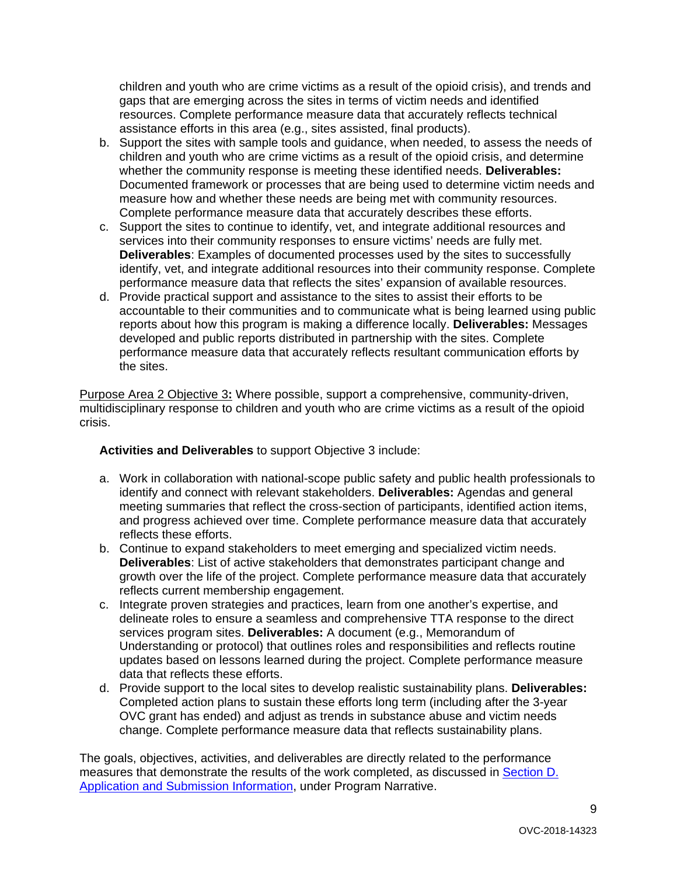children and youth who are crime victims as a result of the opioid crisis), and trends and gaps that are emerging across the sites in terms of victim needs and identified resources. Complete performance measure data that accurately reflects technical assistance efforts in this area (e.g., sites assisted, final products).

- b. Support the sites with sample tools and guidance, when needed, to assess the needs of children and youth who are crime victims as a result of the opioid crisis, and determine whether the community response is meeting these identified needs. **Deliverables:** Documented framework or processes that are being used to determine victim needs and measure how and whether these needs are being met with community resources. Complete performance measure data that accurately describes these efforts.
- c. Support the sites to continue to identify, vet, and integrate additional resources and services into their community responses to ensure victims' needs are fully met. **Deliverables**: Examples of documented processes used by the sites to successfully identify, vet, and integrate additional resources into their community response. Complete performance measure data that reflects the sites' expansion of available resources.
- d. Provide practical support and assistance to the sites to assist their efforts to be accountable to their communities and to communicate what is being learned using public reports about how this program is making a difference locally. **Deliverables:** Messages developed and public reports distributed in partnership with the sites. Complete performance measure data that accurately reflects resultant communication efforts by the sites.

Purpose Area 2 Objective 3**:** Where possible, support a comprehensive, community-driven, multidisciplinary response to children and youth who are crime victims as a result of the opioid crisis.

**Activities and Deliverables** to support Objective 3 include:

- a. Work in collaboration with national-scope public safety and public health professionals to identify and connect with relevant stakeholders. **Deliverables:** Agendas and general meeting summaries that reflect the cross-section of participants, identified action items, and progress achieved over time. Complete performance measure data that accurately reflects these efforts.
- b. Continue to expand stakeholders to meet emerging and specialized victim needs. **Deliverables**: List of active stakeholders that demonstrates participant change and growth over the life of the project. Complete performance measure data that accurately reflects current membership engagement.
- c. Integrate proven strategies and practices, learn from one another's expertise, and delineate roles to ensure a seamless and comprehensive TTA response to the direct services program sites. **Deliverables:** A document (e.g., Memorandum of Understanding or protocol) that outlines roles and responsibilities and reflects routine updates based on lessons learned during the project. Complete performance measure data that reflects these efforts.
- d. Provide support to the local sites to develop realistic sustainability plans. **Deliverables:** Completed action plans to sustain these efforts long term (including after the 3-year OVC grant has ended) and adjust as trends in substance abuse and victim needs change. Complete performance measure data that reflects sustainability plans.

The goals, objectives, activities, and deliverables are directly related to the performance measures that demonstrate the results of the work completed, as discussed in **Section D.** [Application and Submission Information,](#page-14-0) under Program Narrative.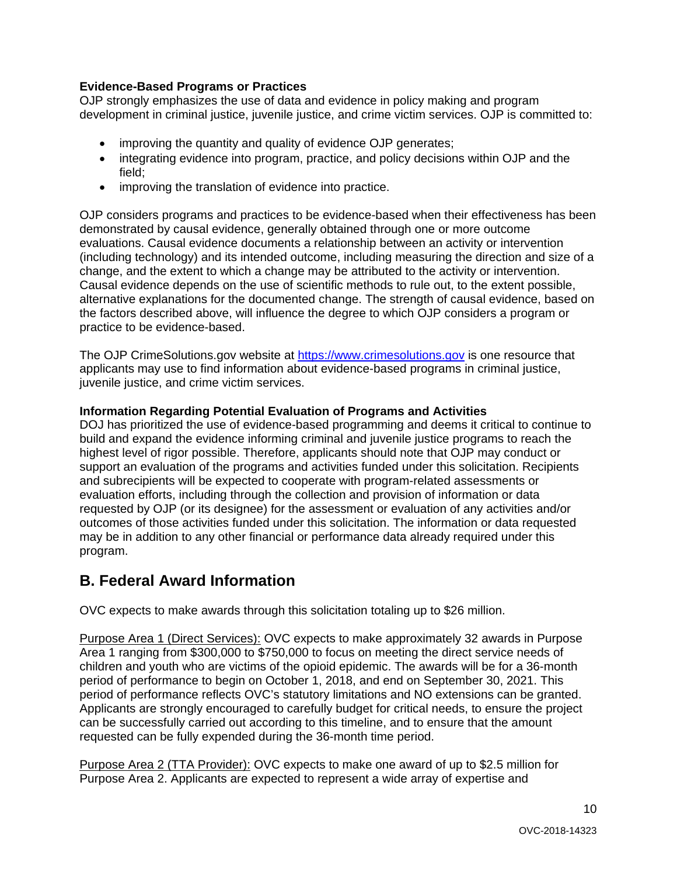# <span id="page-9-0"></span>**Evidence-Based Programs or Practices**

OJP strongly emphasizes the use of data and evidence in policy making and program development in criminal justice, juvenile justice, and crime victim services. OJP is committed to:

- improving the quantity and quality of evidence OJP generates;
- integrating evidence into program, practice, and policy decisions within OJP and the field;
- improving the translation of evidence into practice.

OJP considers programs and practices to be evidence-based when their effectiveness has been demonstrated by causal evidence, generally obtained through one or more outcome evaluations. Causal evidence documents a relationship between an activity or intervention (including technology) and its intended outcome, including measuring the direction and size of a change, and the extent to which a change may be attributed to the activity or intervention. Causal evidence depends on the use of scientific methods to rule out, to the extent possible, alternative explanations for the documented change. The strength of causal evidence, based on the factors described above, will influence the degree to which OJP considers a program or practice to be evidence-based.

The OJP CrimeSolutions.gov website at [https://www.crimesolutions.gov](https://www.crimesolutions.gov/) is one resource that applicants may use to find information about evidence-based programs in criminal justice, juvenile justice, and crime victim services.

# <span id="page-9-1"></span>**Information Regarding Potential Evaluation of Programs and Activities**

DOJ has prioritized the use of evidence-based programming and deems it critical to continue to build and expand the evidence informing criminal and juvenile justice programs to reach the highest level of rigor possible. Therefore, applicants should note that OJP may conduct or support an evaluation of the programs and activities funded under this solicitation. Recipients and subrecipients will be expected to cooperate with program-related assessments or evaluation efforts, including through the collection and provision of information or data requested by OJP (or its designee) for the assessment or evaluation of any activities and/or outcomes of those activities funded under this solicitation. The information or data requested may be in addition to any other financial or performance data already required under this program.

# <span id="page-9-2"></span>**B. Federal Award Information**

OVC expects to make awards through this solicitation totaling up to \$26 million.

Purpose Area 1 (Direct Services): OVC expects to make approximately 32 awards in Purpose Area 1 ranging from \$300,000 to \$750,000 to focus on meeting the direct service needs of children and youth who are victims of the opioid epidemic. The awards will be for a 36-month period of performance to begin on October 1, 2018, and end on September 30, 2021. This period of performance reflects OVC's statutory limitations and NO extensions can be granted. Applicants are strongly encouraged to carefully budget for critical needs, to ensure the project can be successfully carried out according to this timeline, and to ensure that the amount requested can be fully expended during the 36-month time period.

Purpose Area 2 (TTA Provider): OVC expects to make one award of up to \$2.5 million for Purpose Area 2. Applicants are expected to represent a wide array of expertise and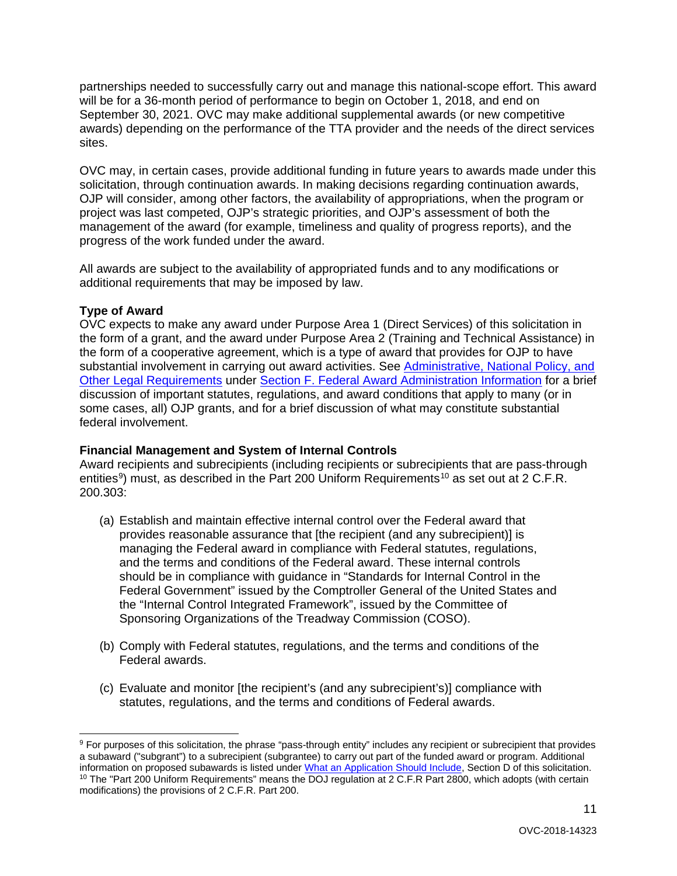partnerships needed to successfully carry out and manage this national-scope effort. This award will be for a 36-month period of performance to begin on October 1, 2018, and end on September 30, 2021. OVC may make additional supplemental awards (or new competitive awards) depending on the performance of the TTA provider and the needs of the direct services sites.

OVC may, in certain cases, provide additional funding in future years to awards made under this solicitation, through continuation awards. In making decisions regarding continuation awards, OJP will consider, among other factors, the availability of appropriations, when the program or project was last competed, OJP's strategic priorities, and OJP's assessment of both the management of the award (for example, timeliness and quality of progress reports), and the progress of the work funded under the award.

All awards are subject to the availability of appropriated funds and to any modifications or additional requirements that may be imposed by law.

# <span id="page-10-0"></span>**Type of Award**

 $\overline{a}$ 

OVC expects to make any award under Purpose Area 1 (Direct Services) of this solicitation in the form of a grant, and the award under Purpose Area 2 (Training and Technical Assistance) in the form of a cooperative agreement, which is a type of award that provides for OJP to have substantial involvement in carrying out award activities. See [Administrative, National Policy, and](#page-33-0)  [Other Legal Requirements](#page-33-0) under [Section F. Federal Award Administration Information](#page-33-0) for a brief discussion of important statutes, regulations, and award conditions that apply to many (or in some cases, all) OJP grants, and for a brief discussion of what may constitute substantial federal involvement.

# <span id="page-10-1"></span>**Financial Management and System of Internal Controls**

Award recipients and subrecipients (including recipients or subrecipients that are pass-through entities<sup>[9](#page-10-2)</sup>) must, as described in the Part 200 Uniform Requirements<sup>[10](#page-10-3)</sup> as set out at 2 C.F.R. 200.303:

- (a) Establish and maintain effective internal control over the Federal award that provides reasonable assurance that [the recipient (and any subrecipient)] is managing the Federal award in compliance with Federal statutes, regulations, and the terms and conditions of the Federal award. These internal controls should be in compliance with guidance in "Standards for Internal Control in the Federal Government" issued by the Comptroller General of the United States and the "Internal Control Integrated Framework", issued by the Committee of Sponsoring Organizations of the Treadway Commission (COSO).
- (b) Comply with Federal statutes, regulations, and the terms and conditions of the Federal awards.
- (c) Evaluate and monitor [the recipient's (and any subrecipient's)] compliance with statutes, regulations, and the terms and conditions of Federal awards.

<span id="page-10-3"></span><span id="page-10-2"></span><sup>9</sup> For purposes of this solicitation, the phrase "pass-through entity" includes any recipient or subrecipient that provides a subaward ("subgrant") to a subrecipient (subgrantee) to carry out part of the funded award or program. Additional<br>information on proposed subawards is listed under What an Application Should Include, Section D of this so <sup>10</sup> The "Part 200 Uniform Requirements" means the DOJ regulation at 2 C.F.R Part 2800, which adopts (with certain modifications) the provisions of 2 C.F.R. Part 200.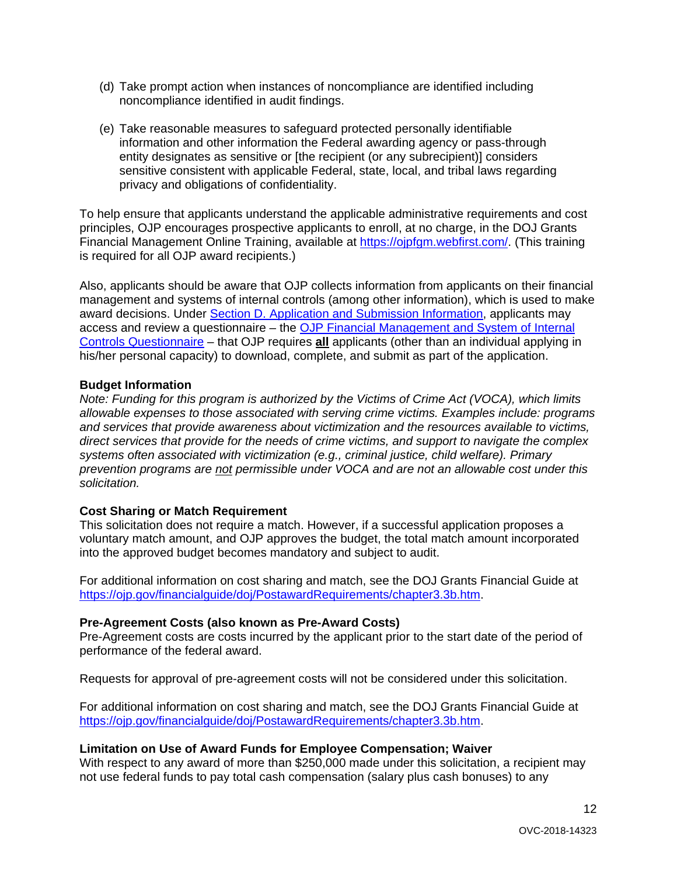- (d) Take prompt action when instances of noncompliance are identified including noncompliance identified in audit findings.
- (e) Take reasonable measures to safeguard protected personally identifiable information and other information the Federal awarding agency or pass-through entity designates as sensitive or [the recipient (or any subrecipient)] considers sensitive consistent with applicable Federal, state, local, and tribal laws regarding privacy and obligations of confidentiality.

To help ensure that applicants understand the applicable administrative requirements and cost principles, OJP encourages prospective applicants to enroll, at no charge, in the DOJ Grants Financial Management Online Training, available at [https://ojpfgm.webfirst.com/.](https://ojpfgm.webfirst.com/) (This training is required for all OJP award recipients.)

Also, applicants should be aware that OJP collects information from applicants on their financial management and systems of internal controls (among other information), which is used to make award decisions. Under [Section D. Application and Submission Information,](#page-14-0) applicants may access and review a questionnaire – the [OJP Financial Management and System of Internal](https://ojp.gov/funding/Apply/Resources/FinancialCapability.pdf)  [Controls Questionnaire](https://ojp.gov/funding/Apply/Resources/FinancialCapability.pdf) – that OJP requires **all** applicants (other than an individual applying in his/her personal capacity) to download, complete, and submit as part of the application.

#### <span id="page-11-0"></span>**Budget Information**

*Note: Funding for this program is authorized by the Victims of Crime Act (VOCA), which limits allowable expenses to those associated with serving crime victims. Examples include: programs and services that provide awareness about victimization and the resources available to victims, direct services that provide for the needs of crime victims, and support to navigate the complex systems often associated with victimization (e.g., criminal justice, child welfare). Primary prevention programs are not permissible under VOCA and are not an allowable cost under this solicitation.*

# <span id="page-11-1"></span>**Cost Sharing or Match Requirement**

This solicitation does not require a match. However, if a successful application proposes a voluntary match amount, and OJP approves the budget, the total match amount incorporated into the approved budget becomes mandatory and subject to audit.

For additional information on cost sharing and match, see the DOJ Grants Financial Guide at [https://ojp.gov/financialguide/doj/PostawardRequirements/chapter3.3b.htm.](https://ojp.gov/financialguide/doj/PostawardRequirements/chapter3.3b.htm)

# <span id="page-11-2"></span>**Pre-Agreement Costs (also known as Pre-Award Costs)**

Pre-Agreement costs are costs incurred by the applicant prior to the start date of the period of performance of the federal award.

Requests for approval of pre-agreement costs will not be considered under this solicitation.

For additional information on cost sharing and match, see the DOJ Grants Financial Guide at [https://ojp.gov/financialguide/doj/PostawardRequirements/chapter3.3b.htm.](https://ojp.gov/financialguide/doj/PostawardRequirements/chapter3.3b.htm)

#### <span id="page-11-3"></span>**Limitation on Use of Award Funds for Employee Compensation; Waiver**

With respect to any award of more than \$250,000 made under this solicitation, a recipient may not use federal funds to pay total cash compensation (salary plus cash bonuses) to any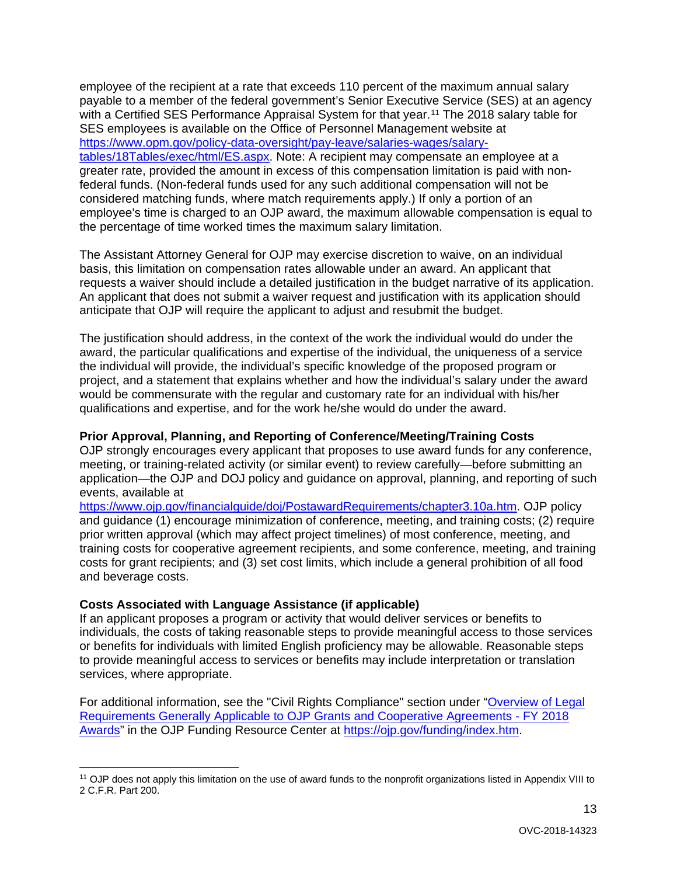employee of the recipient at a rate that exceeds 110 percent of the maximum annual salary payable to a member of the federal government's Senior Executive Service (SES) at an agency with a Certified SES Performance Appraisal System for that year.<sup>[11](#page-12-2)</sup> The 2018 salary table for SES employees is available on the Office of Personnel Management website at [https://www.opm.gov/policy-data-oversight/pay-leave/salaries-wages/salary](https://www.opm.gov/policy-data-oversight/pay-leave/salaries-wages/salary-tables/18Tables/exec/html/ES.aspx)[tables/18Tables/exec/html/ES.aspx.](https://www.opm.gov/policy-data-oversight/pay-leave/salaries-wages/salary-tables/18Tables/exec/html/ES.aspx) Note: A recipient may compensate an employee at a greater rate, provided the amount in excess of this compensation limitation is paid with nonfederal funds. (Non-federal funds used for any such additional compensation will not be considered matching funds, where match requirements apply.) If only a portion of an employee's time is charged to an OJP award, the maximum allowable compensation is equal to the percentage of time worked times the maximum salary limitation.

The Assistant Attorney General for OJP may exercise discretion to waive, on an individual basis, this limitation on compensation rates allowable under an award. An applicant that requests a waiver should include a detailed justification in the budget narrative of its application. An applicant that does not submit a waiver request and justification with its application should anticipate that OJP will require the applicant to adjust and resubmit the budget.

The justification should address, in the context of the work the individual would do under the award, the particular qualifications and expertise of the individual, the uniqueness of a service the individual will provide, the individual's specific knowledge of the proposed program or project, and a statement that explains whether and how the individual's salary under the award would be commensurate with the regular and customary rate for an individual with his/her qualifications and expertise, and for the work he/she would do under the award.

# <span id="page-12-0"></span>**Prior Approval, Planning, and Reporting of Conference/Meeting/Training Costs**

OJP strongly encourages every applicant that proposes to use award funds for any conference, meeting, or training-related activity (or similar event) to review carefully—before submitting an application—the OJP and DOJ policy and guidance on approval, planning, and reporting of such events, available at

[https://www.ojp.gov/financialguide/doj/PostawardRequirements/chapter3.10a.htm.](https://www.ojp.gov/financialguide/doj/PostawardRequirements/chapter3.10a.htm) OJP policy and guidance (1) encourage minimization of conference, meeting, and training costs; (2) require prior written approval (which may affect project timelines) of most conference, meeting, and training costs for cooperative agreement recipients, and some conference, meeting, and training costs for grant recipients; and (3) set cost limits, which include a general prohibition of all food and beverage costs.

#### <span id="page-12-1"></span>**Costs Associated with Language Assistance (if applicable)**

If an applicant proposes a program or activity that would deliver services or benefits to individuals, the costs of taking reasonable steps to provide meaningful access to those services or benefits for individuals with limited English proficiency may be allowable. Reasonable steps to provide meaningful access to services or benefits may include interpretation or translation services, where appropriate.

For additional information, see the "Civil Rights Compliance" section under ["Overview of Legal](https://ojp.gov/funding/Explore/LegalOverview/index.htm)  [Requirements Generally Applicable to OJP Grants and Cooperative Agreements -](https://ojp.gov/funding/Explore/LegalOverview/index.htm) FY 2018 [Awards"](https://ojp.gov/funding/Explore/LegalOverview/index.htm) in the OJP Funding Resource Center at [https://ojp.gov/funding/index.htm.](https://ojp.gov/funding/index.htm)

<span id="page-12-2"></span> <sup>11</sup> OJP does not apply this limitation on the use of award funds to the nonprofit organizations listed in Appendix VIII to 2 C.F.R. Part 200.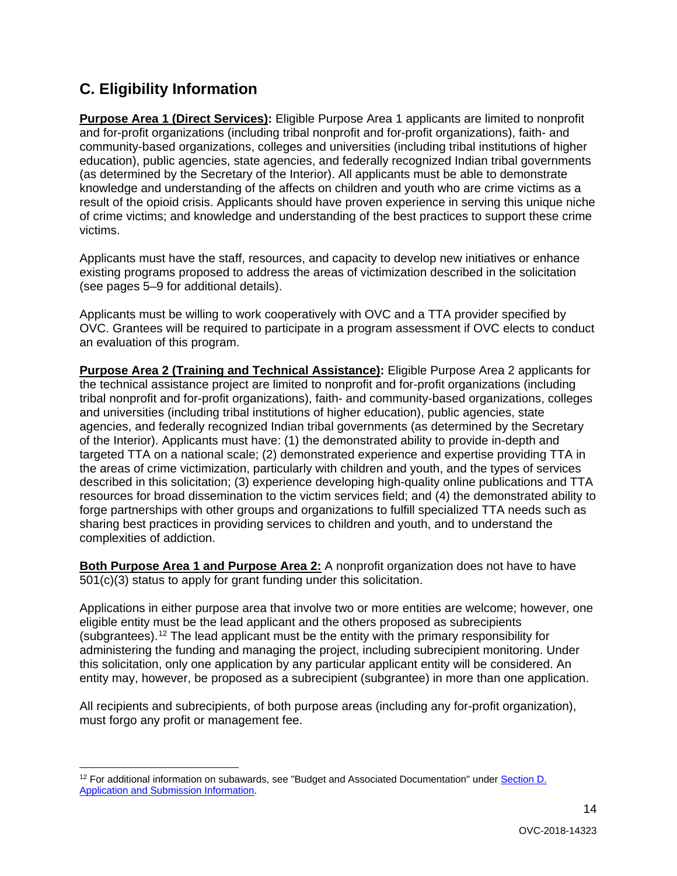# <span id="page-13-0"></span>**C. Eligibility Information**

**Purpose Area 1 (Direct Services):** Eligible Purpose Area 1 applicants are limited to nonprofit and for-profit organizations (including tribal nonprofit and for-profit organizations), faith- and community-based organizations, colleges and universities (including tribal institutions of higher education), public agencies, state agencies, and federally recognized Indian tribal governments (as determined by the Secretary of the Interior). All applicants must be able to demonstrate knowledge and understanding of the affects on children and youth who are crime victims as a result of the opioid crisis. Applicants should have proven experience in serving this unique niche of crime victims; and knowledge and understanding of the best practices to support these crime victims.

Applicants must have the staff, resources, and capacity to develop new initiatives or enhance existing programs proposed to address the areas of victimization described in the solicitation (see pages 5–9 for additional details).

Applicants must be willing to work cooperatively with OVC and a TTA provider specified by OVC. Grantees will be required to participate in a program assessment if OVC elects to conduct an evaluation of this program.

**Purpose Area 2 (Training and Technical Assistance):** Eligible Purpose Area 2 applicants for the technical assistance project are limited to nonprofit and for-profit organizations (including tribal nonprofit and for-profit organizations), faith- and community-based organizations, colleges and universities (including tribal institutions of higher education), public agencies, state agencies, and federally recognized Indian tribal governments (as determined by the Secretary of the Interior). Applicants must have: (1) the demonstrated ability to provide in-depth and targeted TTA on a national scale; (2) demonstrated experience and expertise providing TTA in the areas of crime victimization, particularly with children and youth, and the types of services described in this solicitation; (3) experience developing high-quality online publications and TTA resources for broad dissemination to the victim services field; and (4) the demonstrated ability to forge partnerships with other groups and organizations to fulfill specialized TTA needs such as sharing best practices in providing services to children and youth, and to understand the complexities of addiction.

**Both Purpose Area 1 and Purpose Area 2:** A nonprofit organization does not have to have 501(c)(3) status to apply for grant funding under this solicitation.

Applications in either purpose area that involve two or more entities are welcome; however, one eligible entity must be the lead applicant and the others proposed as subrecipients (subgrantees).[12](#page-13-1) The lead applicant must be the entity with the primary responsibility for administering the funding and managing the project, including subrecipient monitoring. Under this solicitation, only one application by any particular applicant entity will be considered. An entity may, however, be proposed as a subrecipient (subgrantee) in more than one application.

All recipients and subrecipients, of both purpose areas (including any for-profit organization), must forgo any profit or management fee.

<span id="page-13-1"></span><sup>&</sup>lt;sup>12</sup> For additional information on subawards, see "Budget and Associated Documentation" under Section D. [Application and Submission Information.](#page-14-0)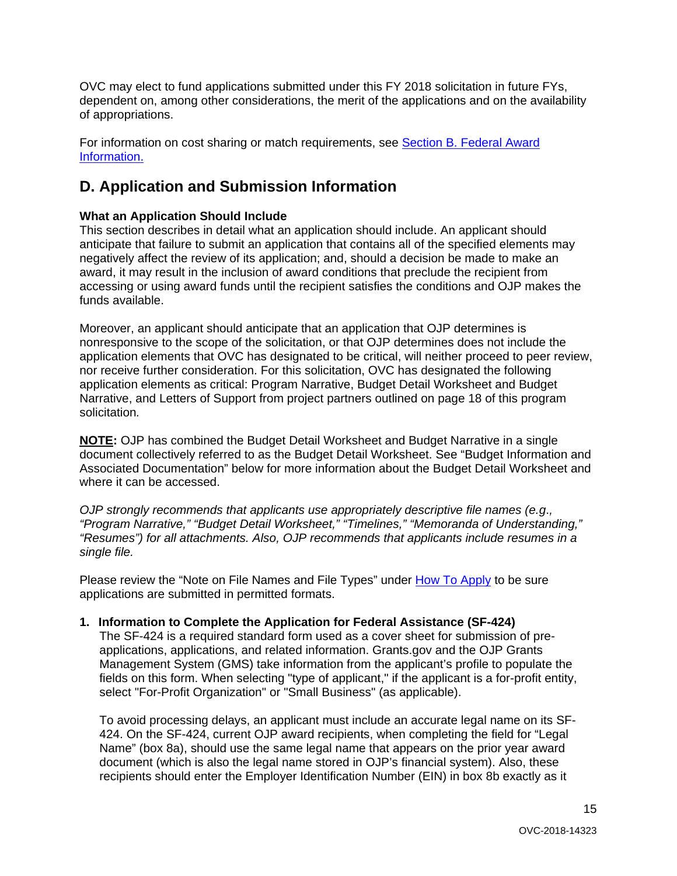<span id="page-14-2"></span>OVC may elect to fund applications submitted under this FY 2018 solicitation in future FYs, dependent on, among other considerations, the merit of the applications and on the availability of appropriations.

For information on cost sharing or match requirements, see Section B. Federal Award [Information.](#page-9-2)

# <span id="page-14-0"></span>**D. Application and Submission Information**

# <span id="page-14-1"></span>**What an Application Should Include**

This section describes in detail what an application should include. An applicant should anticipate that failure to submit an application that contains all of the specified elements may negatively affect the review of its application; and, should a decision be made to make an award, it may result in the inclusion of award conditions that preclude the recipient from accessing or using award funds until the recipient satisfies the conditions and OJP makes the funds available.

Moreover, an applicant should anticipate that an application that OJP determines is nonresponsive to the scope of the solicitation, or that OJP determines does not include the application elements that OVC has designated to be critical, will neither proceed to peer review, nor receive further consideration. For this solicitation, OVC has designated the following application elements as critical: Program Narrative, Budget Detail Worksheet and Budget Narrative, and Letters of Support from project partners outlined on page 18 of this program solicitation*.*

**NOTE:** OJP has combined the Budget Detail Worksheet and Budget Narrative in a single document collectively referred to as the Budget Detail Worksheet. See "Budget Information and Associated Documentation" below for more information about the Budget Detail Worksheet and where it can be accessed.

*OJP strongly recommends that applicants use appropriately descriptive file names (e.g*.*, "Program Narrative," "Budget Detail Worksheet," "Timelines," "Memoranda of Understanding," "Resumes") for all attachments. Also, OJP recommends that applicants include resumes in a single file.*

Please review the "Note on File Names and File Types" under [How To Apply](#page-27-0) to be sure applications are submitted in permitted formats.

# **1. Information to Complete the Application for Federal Assistance (SF-424)**

The SF-424 is a required standard form used as a cover sheet for submission of preapplications, applications, and related information. Grants.gov and the OJP Grants Management System (GMS) take information from the applicant's profile to populate the fields on this form. When selecting "type of applicant," if the applicant is a for-profit entity, select "For-Profit Organization" or "Small Business" (as applicable).

To avoid processing delays, an applicant must include an accurate legal name on its SF-424. On the SF-424, current OJP award recipients, when completing the field for "Legal Name" (box 8a), should use the same legal name that appears on the prior year award document (which is also the legal name stored in OJP's financial system). Also, these recipients should enter the Employer Identification Number (EIN) in box 8b exactly as it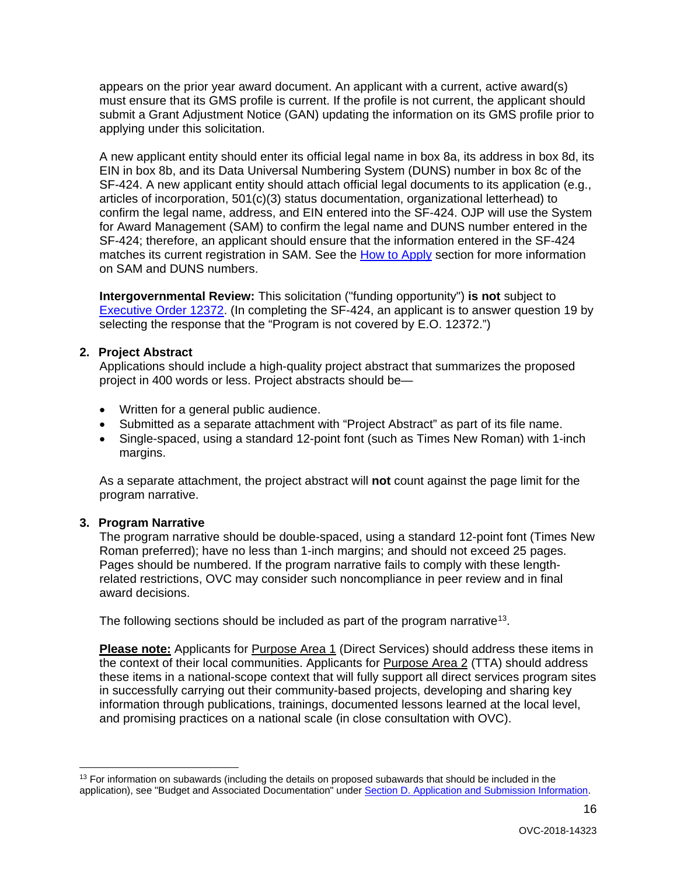appears on the prior year award document. An applicant with a current, active award(s) must ensure that its GMS profile is current. If the profile is not current, the applicant should submit a Grant Adjustment Notice (GAN) updating the information on its GMS profile prior to applying under this solicitation.

A new applicant entity should enter its official legal name in box 8a, its address in box 8d, its EIN in box 8b, and its Data Universal Numbering System (DUNS) number in box 8c of the SF-424. A new applicant entity should attach official legal documents to its application (e.g., articles of incorporation, 501(c)(3) status documentation, organizational letterhead) to confirm the legal name, address, and EIN entered into the SF-424. OJP will use the System for Award Management (SAM) to confirm the legal name and DUNS number entered in the SF-424; therefore, an applicant should ensure that the information entered in the SF-424 matches its current registration in SAM. See the [How to Apply](#page-27-0) section for more information on SAM and DUNS numbers.

**Intergovernmental Review:** This solicitation ("funding opportunity") **is not** subject to [Executive Order 12372.](https://www.archives.gov/federal-register/codification/executive-order/12372.html) (In completing the SF-424, an applicant is to answer question 19 by selecting the response that the "Program is not covered by E.O. 12372.")

#### **2. Project Abstract**

Applications should include a high-quality project abstract that summarizes the proposed project in 400 words or less. Project abstracts should be—

- Written for a general public audience.
- Submitted as a separate attachment with "Project Abstract" as part of its file name.
- Single-spaced, using a standard 12-point font (such as Times New Roman) with 1-inch margins.

As a separate attachment, the project abstract will **not** count against the page limit for the program narrative.

# **3. Program Narrative**

The program narrative should be double-spaced, using a standard 12-point font (Times New Roman preferred); have no less than 1-inch margins; and should not exceed 25 pages. Pages should be numbered. If the program narrative fails to comply with these lengthrelated restrictions, OVC may consider such noncompliance in peer review and in final award decisions.

The following sections should be included as part of the program narrative<sup>[13](#page-15-0)</sup>.

**Please note:** Applicants for Purpose Area 1 (Direct Services) should address these items in the context of their local communities. Applicants for Purpose Area 2 (TTA) should address these items in a national-scope context that will fully support all direct services program sites in successfully carrying out their community-based projects, developing and sharing key information through publications, trainings, documented lessons learned at the local level, and promising practices on a national scale (in close consultation with OVC).

<span id="page-15-0"></span> $13$  For information on subawards (including the details on proposed subawards that should be included in the application), see "Budget and Associated Documentation" under [Section D. Application and Submission Information.](#page-14-0)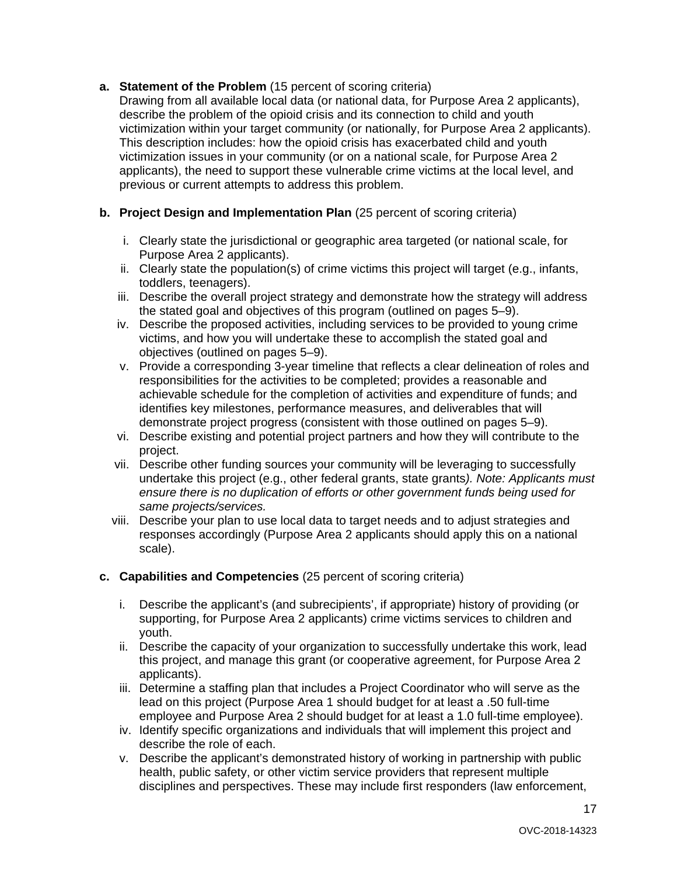# **a. Statement of the Problem** (15 percent of scoring criteria)

Drawing from all available local data (or national data, for Purpose Area 2 applicants), describe the problem of the opioid crisis and its connection to child and youth victimization within your target community (or nationally, for Purpose Area 2 applicants). This description includes: how the opioid crisis has exacerbated child and youth victimization issues in your community (or on a national scale, for Purpose Area 2 applicants), the need to support these vulnerable crime victims at the local level, and previous or current attempts to address this problem.

# **b. Project Design and Implementation Plan** (25 percent of scoring criteria)

- i. Clearly state the jurisdictional or geographic area targeted (or national scale, for Purpose Area 2 applicants).
- ii. Clearly state the population(s) of crime victims this project will target (e.g., infants, toddlers, teenagers).
- iii. Describe the overall project strategy and demonstrate how the strategy will address the stated goal and objectives of this program (outlined on pages 5–9).
- iv. Describe the proposed activities, including services to be provided to young crime victims, and how you will undertake these to accomplish the stated goal and objectives (outlined on pages 5–9).
- v. Provide a corresponding 3-year timeline that reflects a clear delineation of roles and responsibilities for the activities to be completed; provides a reasonable and achievable schedule for the completion of activities and expenditure of funds; and identifies key milestones, performance measures, and deliverables that will demonstrate project progress (consistent with those outlined on pages 5–9).
- vi. Describe existing and potential project partners and how they will contribute to the project.
- vii. Describe other funding sources your community will be leveraging to successfully undertake this project (e.g., other federal grants, state grants*). Note: Applicants must ensure there is no duplication of efforts or other government funds being used for same projects/services.*
- viii. Describe your plan to use local data to target needs and to adjust strategies and responses accordingly (Purpose Area 2 applicants should apply this on a national scale).

# **c. Capabilities and Competencies** (25 percent of scoring criteria)

- i. Describe the applicant's (and subrecipients', if appropriate) history of providing (or supporting, for Purpose Area 2 applicants) crime victims services to children and youth.
- ii. Describe the capacity of your organization to successfully undertake this work, lead this project, and manage this grant (or cooperative agreement, for Purpose Area 2 applicants).
- iii. Determine a staffing plan that includes a Project Coordinator who will serve as the lead on this project (Purpose Area 1 should budget for at least a .50 full-time employee and Purpose Area 2 should budget for at least a 1.0 full-time employee).
- iv. Identify specific organizations and individuals that will implement this project and describe the role of each.
- v. Describe the applicant's demonstrated history of working in partnership with public health, public safety, or other victim service providers that represent multiple disciplines and perspectives. These may include first responders (law enforcement,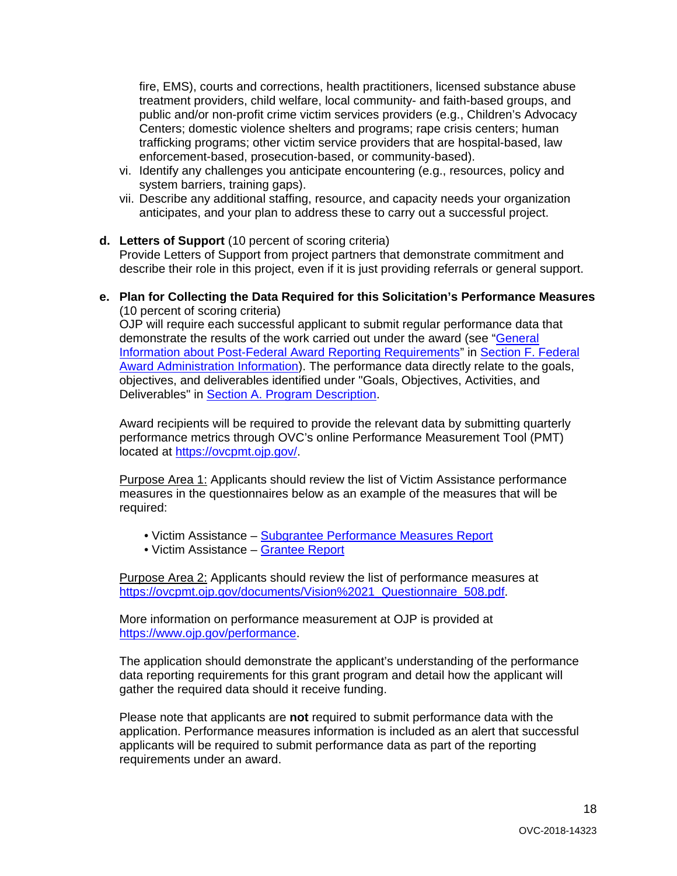fire, EMS), courts and corrections, health practitioners, licensed substance abuse treatment providers, child welfare, local community- and faith-based groups, and public and/or non-profit crime victim services providers (e.g., Children's Advocacy Centers; domestic violence shelters and programs; rape crisis centers; human trafficking programs; other victim service providers that are hospital-based, law enforcement-based, prosecution-based, or community-based).

- vi. Identify any challenges you anticipate encountering (e.g., resources, policy and system barriers, training gaps).
- vii. Describe any additional staffing, resource, and capacity needs your organization anticipates, and your plan to address these to carry out a successful project.
- **d. Letters of Support** (10 percent of scoring criteria) Provide Letters of Support from project partners that demonstrate commitment and describe their role in this project, even if it is just providing referrals or general support.
- **e. Plan for Collecting the Data Required for this Solicitation's Performance Measures** (10 percent of scoring criteria)

OJP will require each successful applicant to submit regular performance data that demonstrate the results of the work carried out under the award (see ["General](#page-34-0)  [Information about Post-Federal Award Reporting Requirements"](#page-34-0) in [Section F. Federal](#page-33-0)  [Award Administration Information\)](#page-33-0). The performance data directly relate to the goals, objectives, and deliverables identified under "Goals, Objectives, Activities, and Deliverables" in **Section A. Program Description**.

Award recipients will be required to provide the relevant data by submitting quarterly performance metrics through OVC's online Performance Measurement Tool (PMT) located at [https://ovcpmt.ojp.gov/.](https://ovcpmt.ojp.gov/)

Purpose Area 1: Applicants should review the list of Victim Assistance performance measures in the questionnaires below as an example of the measures that will be required:

- Victim Assistance [Subgrantee Performance Measures Report](http://ovcpmt.ojp.gov/documents/Victim%20Assistance%20-%20Subgrantee%20Data%20Report%20-%20June%202017.pdf)
- Victim Assistance [Grantee Report](http://ovcpmt.ojp.gov/documents/Victim%20Assistance%20-%20Grantee%20Report.pdf)

Purpose Area 2: Applicants should review the list of performance measures at [https://ovcpmt.ojp.gov/documents/Vision%2021\\_Questionnaire\\_508.pdf.](https://ovcpmt.ojp.gov/documents/Vision%2021_Questionnaire_508.pdf)

More information on performance measurement at OJP is provided at [https://www.ojp.gov/performance.](https://www.ojp.gov/performance)

The application should demonstrate the applicant's understanding of the performance data reporting requirements for this grant program and detail how the applicant will gather the required data should it receive funding.

Please note that applicants are **not** required to submit performance data with the application. Performance measures information is included as an alert that successful applicants will be required to submit performance data as part of the reporting requirements under an award.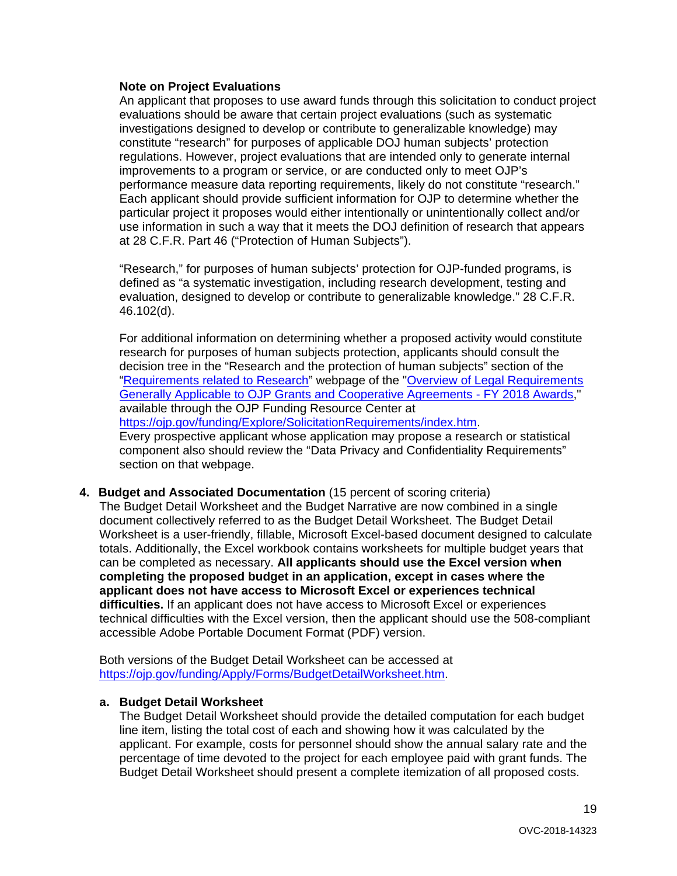#### **Note on Project Evaluations**

An applicant that proposes to use award funds through this solicitation to conduct project evaluations should be aware that certain project evaluations (such as systematic investigations designed to develop or contribute to generalizable knowledge) may constitute "research" for purposes of applicable DOJ human subjects' protection regulations. However, project evaluations that are intended only to generate internal improvements to a program or service, or are conducted only to meet OJP's performance measure data reporting requirements, likely do not constitute "research." Each applicant should provide sufficient information for OJP to determine whether the particular project it proposes would either intentionally or unintentionally collect and/or use information in such a way that it meets the DOJ definition of research that appears at 28 C.F.R. Part 46 ("Protection of Human Subjects").

"Research," for purposes of human subjects' protection for OJP-funded programs, is defined as "a systematic investigation, including research development, testing and evaluation, designed to develop or contribute to generalizable knowledge." 28 C.F.R. 46.102(d).

For additional information on determining whether a proposed activity would constitute research for purposes of human subjects protection, applicants should consult the decision tree in the "Research and the protection of human subjects" section of the ["Requirements related to Research"](https://ojp.gov/funding/Explore/SolicitationRequirements/EvidenceResearchEvaluationRequirements.htm) webpage of the ["Overview of Legal Requirements](https://ojp.gov/funding/Explore/LegalOverview/index.htm)  [Generally Applicable to OJP Grants and Cooperative Agreements -](https://ojp.gov/funding/Explore/LegalOverview/index.htm) FY 2018 Awards," available through the OJP Funding Resource Center at [https://ojp.gov/funding/Explore/SolicitationRequirements/index.htm.](https://ojp.gov/funding/Explore/SolicitationRequirements/index.htm) Every prospective applicant whose application may propose a research or statistical component also should review the "Data Privacy and Confidentiality Requirements" section on that webpage.

**4. Budget and Associated Documentation** (15 percent of scoring criteria) The Budget Detail Worksheet and the Budget Narrative are now combined in a single document collectively referred to as the Budget Detail Worksheet. The Budget Detail Worksheet is a user-friendly, fillable, Microsoft Excel-based document designed to calculate totals. Additionally, the Excel workbook contains worksheets for multiple budget years that can be completed as necessary. **All applicants should use the Excel version when completing the proposed budget in an application, except in cases where the applicant does not have access to Microsoft Excel or experiences technical difficulties.** If an applicant does not have access to Microsoft Excel or experiences technical difficulties with the Excel version, then the applicant should use the 508-compliant accessible Adobe Portable Document Format (PDF) version.

Both versions of the Budget Detail Worksheet can be accessed at [https://ojp.gov/funding/Apply/Forms/BudgetDetailWorksheet.htm.](https://ojp.gov/funding/Apply/Forms/BudgetDetailWorksheet.htm)

# **a. Budget Detail Worksheet**

The Budget Detail Worksheet should provide the detailed computation for each budget line item, listing the total cost of each and showing how it was calculated by the applicant. For example, costs for personnel should show the annual salary rate and the percentage of time devoted to the project for each employee paid with grant funds. The Budget Detail Worksheet should present a complete itemization of all proposed costs.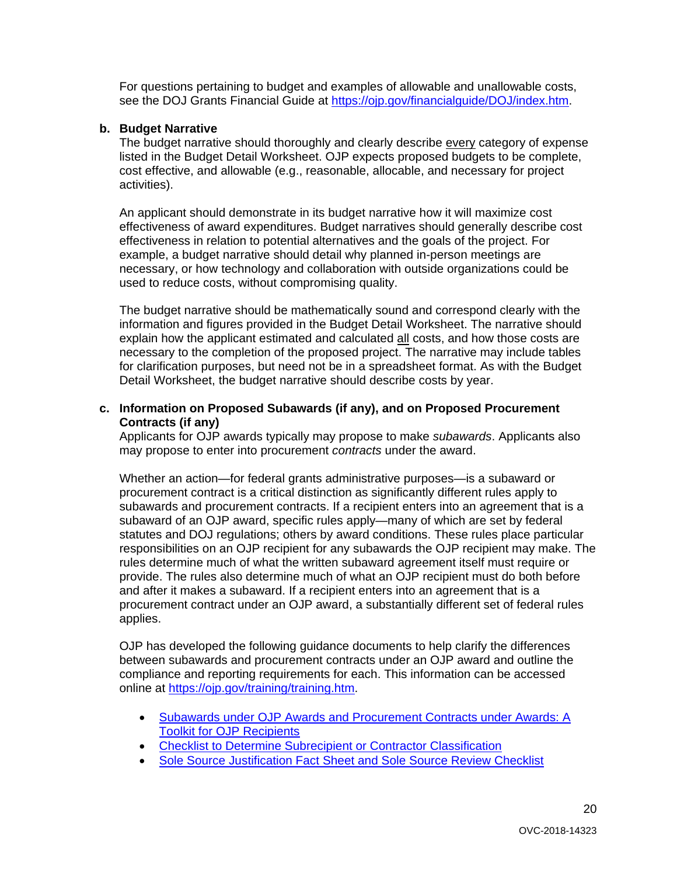For questions pertaining to budget and examples of allowable and unallowable costs, see the DOJ Grants Financial Guide at [https://ojp.gov/financialguide/DOJ/index.htm.](https://ojp.gov/financialguide/DOJ/index.htm)

#### **b. Budget Narrative**

The budget narrative should thoroughly and clearly describe every category of expense listed in the Budget Detail Worksheet. OJP expects proposed budgets to be complete, cost effective, and allowable (e.g., reasonable, allocable, and necessary for project activities).

An applicant should demonstrate in its budget narrative how it will maximize cost effectiveness of award expenditures. Budget narratives should generally describe cost effectiveness in relation to potential alternatives and the goals of the project. For example, a budget narrative should detail why planned in-person meetings are necessary, or how technology and collaboration with outside organizations could be used to reduce costs, without compromising quality.

The budget narrative should be mathematically sound and correspond clearly with the information and figures provided in the Budget Detail Worksheet. The narrative should explain how the applicant estimated and calculated all costs, and how those costs are necessary to the completion of the proposed project. The narrative may include tables for clarification purposes, but need not be in a spreadsheet format. As with the Budget Detail Worksheet, the budget narrative should describe costs by year.

#### **c. Information on Proposed Subawards (if any), and on Proposed Procurement Contracts (if any)**

Applicants for OJP awards typically may propose to make *subawards*. Applicants also may propose to enter into procurement *contracts* under the award.

Whether an action—for federal grants administrative purposes—is a subaward or procurement contract is a critical distinction as significantly different rules apply to subawards and procurement contracts. If a recipient enters into an agreement that is a subaward of an OJP award, specific rules apply—many of which are set by federal statutes and DOJ regulations; others by award conditions. These rules place particular responsibilities on an OJP recipient for any subawards the OJP recipient may make. The rules determine much of what the written subaward agreement itself must require or provide. The rules also determine much of what an OJP recipient must do both before and after it makes a subaward. If a recipient enters into an agreement that is a procurement contract under an OJP award, a substantially different set of federal rules applies.

OJP has developed the following guidance documents to help clarify the differences between subawards and procurement contracts under an OJP award and outline the compliance and reporting requirements for each. This information can be accessed online at [https://ojp.gov/training/training.htm.](http://links.govdelivery.com/track?type=click&enid=ZWFzPTEmbXNpZD0mYXVpZD0mbWFpbGluZ2lkPTIwMTcwNzE3Ljc1OTkyNjAxJm1lc3NhZ2VpZD1NREItUFJELUJVTC0yMDE3MDcxNy43NTk5MjYwMSZkYXRhYmFzZWlkPTEwMDEmc2VyaWFsPTE3MDc5NDk3JmVtYWlsaWQ9bHVjeS5tdW5nbGVAb2pwLnVzZG9qLmdvdiZ1c2VyaWQ9bHVjeS5tdW5nbGVAb2pwLnVzZG9qLmdvdiZ0YXJnZXRpZD0mZmw9Jm12aWQ9JmV4dHJhPSYmJg==&&&100&&&https://ojp.gov/training/training.htm)

- [Subawards under OJP Awards and Procurement Contracts under Awards: A](http://links.govdelivery.com/track?type=click&enid=ZWFzPTEmbXNpZD0mYXVpZD0mbWFpbGluZ2lkPTIwMTcwNzE3Ljc1OTkyNjAxJm1lc3NhZ2VpZD1NREItUFJELUJVTC0yMDE3MDcxNy43NTk5MjYwMSZkYXRhYmFzZWlkPTEwMDEmc2VyaWFsPTE3MDc5NDk3JmVtYWlsaWQ9bHVjeS5tdW5nbGVAb2pwLnVzZG9qLmdvdiZ1c2VyaWQ9bHVjeS5tdW5nbGVAb2pwLnVzZG9qLmdvdiZ0YXJnZXRpZD0mZmw9Jm12aWQ9JmV4dHJhPSYmJg==&&&101&&&https://ojp.gov/training/pdfs/Subaward-Procure-Toolkit-D.pdf)  [Toolkit for OJP Recipients](http://links.govdelivery.com/track?type=click&enid=ZWFzPTEmbXNpZD0mYXVpZD0mbWFpbGluZ2lkPTIwMTcwNzE3Ljc1OTkyNjAxJm1lc3NhZ2VpZD1NREItUFJELUJVTC0yMDE3MDcxNy43NTk5MjYwMSZkYXRhYmFzZWlkPTEwMDEmc2VyaWFsPTE3MDc5NDk3JmVtYWlsaWQ9bHVjeS5tdW5nbGVAb2pwLnVzZG9qLmdvdiZ1c2VyaWQ9bHVjeS5tdW5nbGVAb2pwLnVzZG9qLmdvdiZ0YXJnZXRpZD0mZmw9Jm12aWQ9JmV4dHJhPSYmJg==&&&101&&&https://ojp.gov/training/pdfs/Subaward-Procure-Toolkit-D.pdf)
- [Checklist to Determine Subrecipient or Contractor Classification](http://links.govdelivery.com/track?type=click&enid=ZWFzPTEmbXNpZD0mYXVpZD0mbWFpbGluZ2lkPTIwMTcwNzE3Ljc1OTkyNjAxJm1lc3NhZ2VpZD1NREItUFJELUJVTC0yMDE3MDcxNy43NTk5MjYwMSZkYXRhYmFzZWlkPTEwMDEmc2VyaWFsPTE3MDc5NDk3JmVtYWlsaWQ9bHVjeS5tdW5nbGVAb2pwLnVzZG9qLmdvdiZ1c2VyaWQ9bHVjeS5tdW5nbGVAb2pwLnVzZG9qLmdvdiZ0YXJnZXRpZD0mZmw9Jm12aWQ9JmV4dHJhPSYmJg==&&&102&&&https://ojp.gov/training/pdfs/Subrecipient-Procure-cklist-B.pdf)
- [Sole Source Justification Fact Sheet and Sole Source Review Checklist](http://links.govdelivery.com/track?type=click&enid=ZWFzPTEmbXNpZD0mYXVpZD0mbWFpbGluZ2lkPTIwMTcwNzE3Ljc1OTkyNjAxJm1lc3NhZ2VpZD1NREItUFJELUJVTC0yMDE3MDcxNy43NTk5MjYwMSZkYXRhYmFzZWlkPTEwMDEmc2VyaWFsPTE3MDc5NDk3JmVtYWlsaWQ9bHVjeS5tdW5nbGVAb2pwLnVzZG9qLmdvdiZ1c2VyaWQ9bHVjeS5tdW5nbGVAb2pwLnVzZG9qLmdvdiZ0YXJnZXRpZD0mZmw9Jm12aWQ9JmV4dHJhPSYmJg==&&&103&&&https://ojp.gov/training/pdfs/Sole-Source-FactSheet-C.pdf)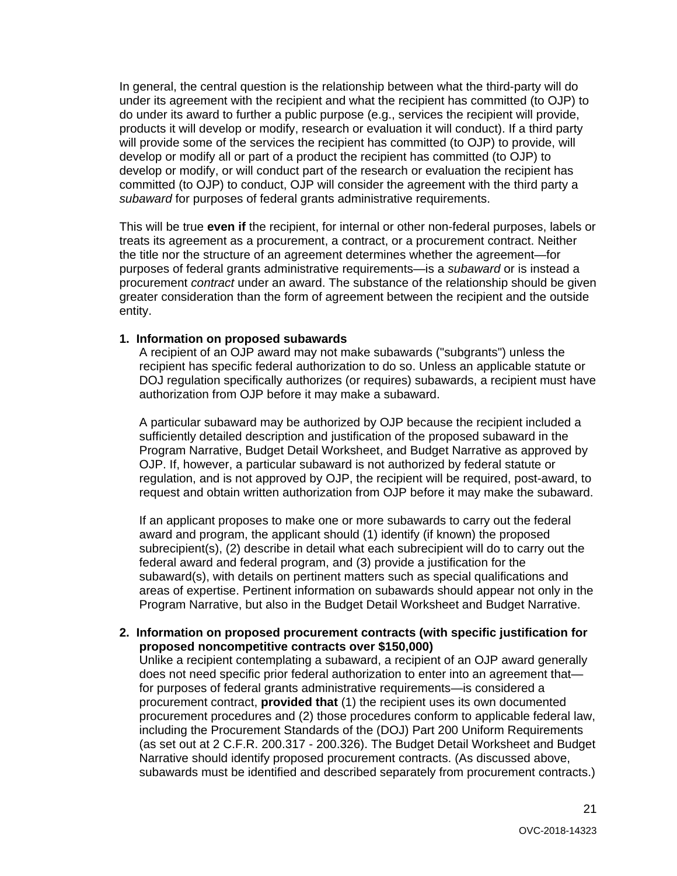In general, the central question is the relationship between what the third-party will do under its agreement with the recipient and what the recipient has committed (to OJP) to do under its award to further a public purpose (e.g., services the recipient will provide, products it will develop or modify, research or evaluation it will conduct). If a third party will provide some of the services the recipient has committed (to OJP) to provide, will develop or modify all or part of a product the recipient has committed (to OJP) to develop or modify, or will conduct part of the research or evaluation the recipient has committed (to OJP) to conduct, OJP will consider the agreement with the third party a *subaward* for purposes of federal grants administrative requirements.

This will be true **even if** the recipient, for internal or other non-federal purposes, labels or treats its agreement as a procurement, a contract, or a procurement contract. Neither the title nor the structure of an agreement determines whether the agreement—for purposes of federal grants administrative requirements—is a *subaward* or is instead a procurement *contract* under an award. The substance of the relationship should be given greater consideration than the form of agreement between the recipient and the outside entity.

#### **1. Information on proposed subawards**

A recipient of an OJP award may not make subawards ("subgrants") unless the recipient has specific federal authorization to do so. Unless an applicable statute or DOJ regulation specifically authorizes (or requires) subawards, a recipient must have authorization from OJP before it may make a subaward.

A particular subaward may be authorized by OJP because the recipient included a sufficiently detailed description and justification of the proposed subaward in the Program Narrative, Budget Detail Worksheet, and Budget Narrative as approved by OJP. If, however, a particular subaward is not authorized by federal statute or regulation, and is not approved by OJP, the recipient will be required, post-award, to request and obtain written authorization from OJP before it may make the subaward.

If an applicant proposes to make one or more subawards to carry out the federal award and program, the applicant should (1) identify (if known) the proposed subrecipient(s), (2) describe in detail what each subrecipient will do to carry out the federal award and federal program, and (3) provide a justification for the subaward(s), with details on pertinent matters such as special qualifications and areas of expertise. Pertinent information on subawards should appear not only in the Program Narrative, but also in the Budget Detail Worksheet and Budget Narrative.

#### **2. Information on proposed procurement contracts (with specific justification for proposed noncompetitive contracts over \$150,000)**

Unlike a recipient contemplating a subaward, a recipient of an OJP award generally does not need specific prior federal authorization to enter into an agreement that for purposes of federal grants administrative requirements—is considered a procurement contract, **provided that** (1) the recipient uses its own documented procurement procedures and (2) those procedures conform to applicable federal law, including the Procurement Standards of the (DOJ) Part 200 Uniform Requirements (as set out at 2 C.F.R. 200.317 - 200.326). The Budget Detail Worksheet and Budget Narrative should identify proposed procurement contracts. (As discussed above, subawards must be identified and described separately from procurement contracts.)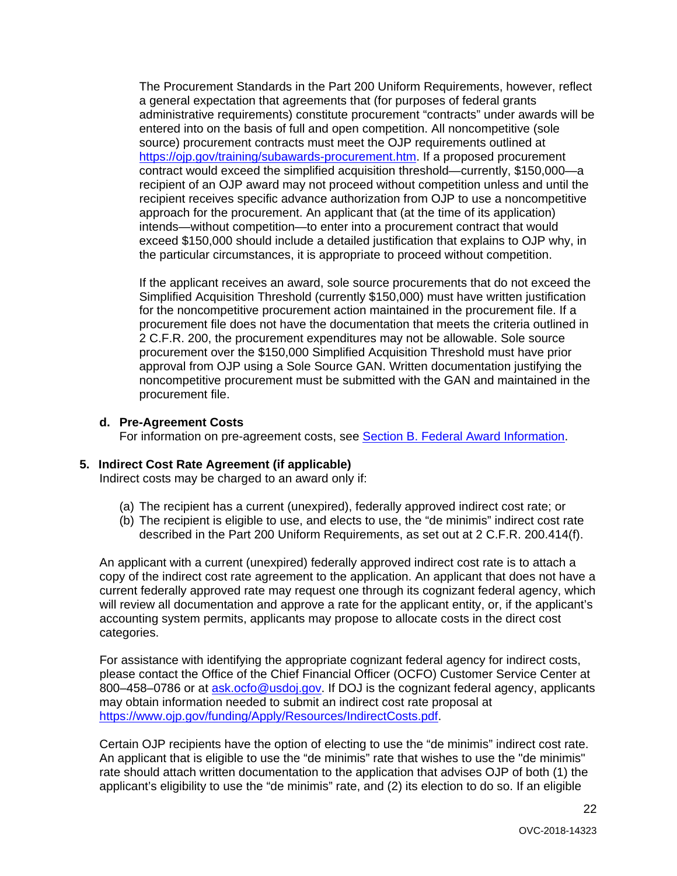The Procurement Standards in the Part 200 Uniform Requirements, however, reflect a general expectation that agreements that (for purposes of federal grants administrative requirements) constitute procurement "contracts" under awards will be entered into on the basis of full and open competition. All noncompetitive (sole source) procurement contracts must meet the OJP requirements outlined at [https://ojp.gov/training/subawards-procurement.htm.](https://ojp.gov/training/subawards-procurement.htm) If a proposed procurement contract would exceed the simplified acquisition threshold—currently, \$150,000—a recipient of an OJP award may not proceed without competition unless and until the recipient receives specific advance authorization from OJP to use a noncompetitive approach for the procurement. An applicant that (at the time of its application) intends—without competition—to enter into a procurement contract that would exceed \$150,000 should include a detailed justification that explains to OJP why, in the particular circumstances, it is appropriate to proceed without competition.

If the applicant receives an award, sole source procurements that do not exceed the Simplified Acquisition Threshold (currently \$150,000) must have written justification for the noncompetitive procurement action maintained in the procurement file. If a procurement file does not have the documentation that meets the criteria outlined in 2 C.F.R. 200, the procurement expenditures may not be allowable. Sole source procurement over the \$150,000 Simplified Acquisition Threshold must have prior approval from OJP using a Sole Source GAN. Written documentation justifying the noncompetitive procurement must be submitted with the GAN and maintained in the procurement file.

#### **d. Pre-Agreement Costs**

For information on pre-agreement costs, see [Section B. Federal Award Information.](#page-9-2)

#### **5. Indirect Cost Rate Agreement (if applicable)**

Indirect costs may be charged to an award only if:

- (a) The recipient has a current (unexpired), federally approved indirect cost rate; or
- (b) The recipient is eligible to use, and elects to use, the "de minimis" indirect cost rate described in the Part 200 Uniform Requirements, as set out at 2 C.F.R. 200.414(f).

An applicant with a current (unexpired) federally approved indirect cost rate is to attach a copy of the indirect cost rate agreement to the application. An applicant that does not have a current federally approved rate may request one through its cognizant federal agency, which will review all documentation and approve a rate for the applicant entity, or, if the applicant's accounting system permits, applicants may propose to allocate costs in the direct cost categories.

For assistance with identifying the appropriate cognizant federal agency for indirect costs, please contact the Office of the Chief Financial Officer (OCFO) Customer Service Center at 800–458–0786 or at [ask.ocfo@usdoj.gov.](mailto:ask.ocfo@usdoj.gov) If DOJ is the cognizant federal agency, applicants may obtain information needed to submit an indirect cost rate proposal at [https://www.ojp.gov/funding/Apply/Resources/IndirectCosts.pdf.](https://www.ojp.gov/funding/Apply/Resources/IndirectCosts.pdf)

Certain OJP recipients have the option of electing to use the "de minimis" indirect cost rate. An applicant that is eligible to use the "de minimis" rate that wishes to use the "de minimis" rate should attach written documentation to the application that advises OJP of both (1) the applicant's eligibility to use the "de minimis" rate, and (2) its election to do so. If an eligible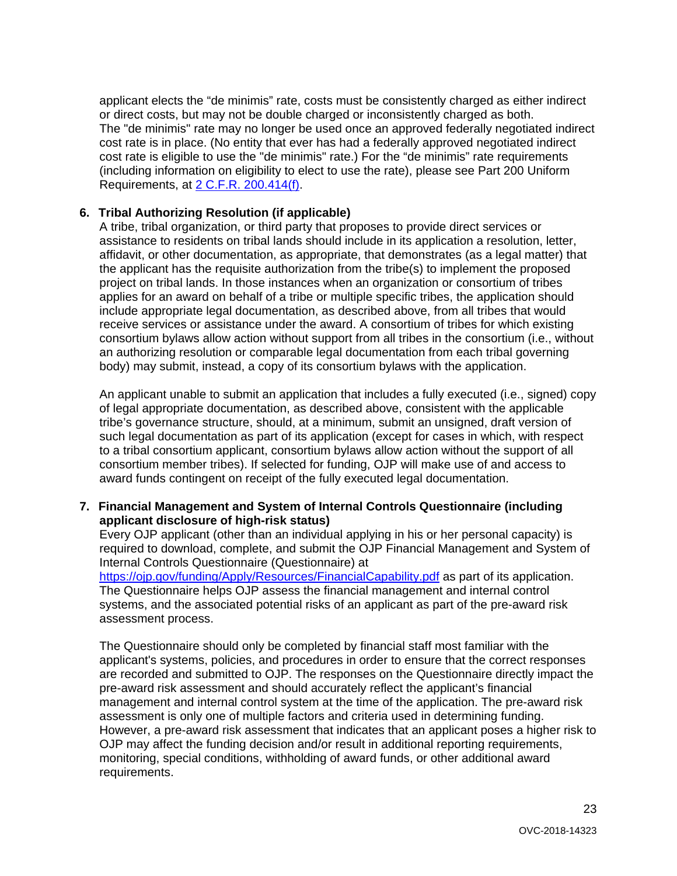applicant elects the "de minimis" rate, costs must be consistently charged as either indirect or direct costs, but may not be double charged or inconsistently charged as both. The "de minimis" rate may no longer be used once an approved federally negotiated indirect cost rate is in place. (No entity that ever has had a federally approved negotiated indirect cost rate is eligible to use the "de minimis" rate.) For the "de minimis" rate requirements (including information on eligibility to elect to use the rate), please see Part 200 Uniform Requirements, at [2 C.F.R. 200.414\(f\).](https://www.ecfr.gov/cgi-bin/text-idx?node=se2.1.200_1414&rgn=div8)

# **6. Tribal Authorizing Resolution (if applicable)**

A tribe, tribal organization, or third party that proposes to provide direct services or assistance to residents on tribal lands should include in its application a resolution, letter, affidavit, or other documentation, as appropriate, that demonstrates (as a legal matter) that the applicant has the requisite authorization from the tribe(s) to implement the proposed project on tribal lands. In those instances when an organization or consortium of tribes applies for an award on behalf of a tribe or multiple specific tribes, the application should include appropriate legal documentation, as described above, from all tribes that would receive services or assistance under the award. A consortium of tribes for which existing consortium bylaws allow action without support from all tribes in the consortium (i.e., without an authorizing resolution or comparable legal documentation from each tribal governing body) may submit, instead, a copy of its consortium bylaws with the application.

An applicant unable to submit an application that includes a fully executed (i.e., signed) copy of legal appropriate documentation, as described above, consistent with the applicable tribe's governance structure, should, at a minimum, submit an unsigned, draft version of such legal documentation as part of its application (except for cases in which, with respect to a tribal consortium applicant, consortium bylaws allow action without the support of all consortium member tribes). If selected for funding, OJP will make use of and access to award funds contingent on receipt of the fully executed legal documentation.

# **7. Financial Management and System of Internal Controls Questionnaire (including applicant disclosure of high-risk status)**

Every OJP applicant (other than an individual applying in his or her personal capacity) is required to download, complete, and submit the OJP Financial Management and System of Internal Controls Questionnaire (Questionnaire) at

<https://ojp.gov/funding/Apply/Resources/FinancialCapability.pdf> as part of its application. The Questionnaire helps OJP assess the financial management and internal control systems, and the associated potential risks of an applicant as part of the pre-award risk assessment process.

The Questionnaire should only be completed by financial staff most familiar with the applicant's systems, policies, and procedures in order to ensure that the correct responses are recorded and submitted to OJP. The responses on the Questionnaire directly impact the pre-award risk assessment and should accurately reflect the applicant's financial management and internal control system at the time of the application. The pre-award risk assessment is only one of multiple factors and criteria used in determining funding. However, a pre-award risk assessment that indicates that an applicant poses a higher risk to OJP may affect the funding decision and/or result in additional reporting requirements, monitoring, special conditions, withholding of award funds, or other additional award requirements.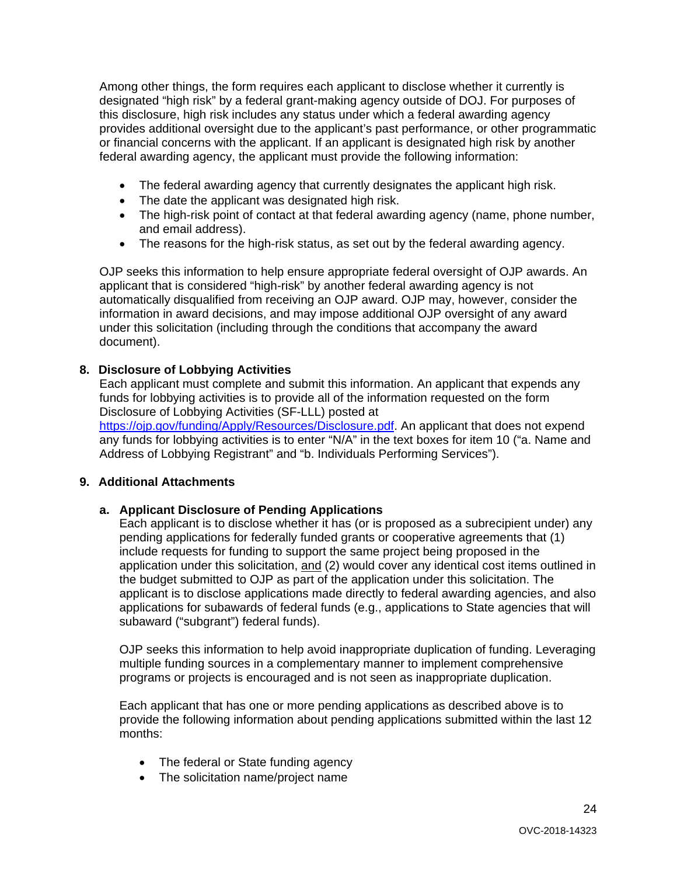Among other things, the form requires each applicant to disclose whether it currently is designated "high risk" by a federal grant-making agency outside of DOJ. For purposes of this disclosure, high risk includes any status under which a federal awarding agency provides additional oversight due to the applicant's past performance, or other programmatic or financial concerns with the applicant. If an applicant is designated high risk by another federal awarding agency, the applicant must provide the following information:

- The federal awarding agency that currently designates the applicant high risk.
- The date the applicant was designated high risk.
- The high-risk point of contact at that federal awarding agency (name, phone number, and email address).
- The reasons for the high-risk status, as set out by the federal awarding agency.

OJP seeks this information to help ensure appropriate federal oversight of OJP awards. An applicant that is considered "high-risk" by another federal awarding agency is not automatically disqualified from receiving an OJP award. OJP may, however, consider the information in award decisions, and may impose additional OJP oversight of any award under this solicitation (including through the conditions that accompany the award document).

# **8. Disclosure of Lobbying Activities**

Each applicant must complete and submit this information. An applicant that expends any funds for lobbying activities is to provide all of the information requested on the form Disclosure of Lobbying Activities (SF-LLL) posted at https://oip.gov/funding/Apply/Resources/Disclosure.pdf. An applicant that does not expend any funds for lobbying activities is to enter "N/A" in the text boxes for item 10 ("a. Name and Address of Lobbying Registrant" and "b. Individuals Performing Services").

# **9. Additional Attachments**

# **a. Applicant Disclosure of Pending Applications**

Each applicant is to disclose whether it has (or is proposed as a subrecipient under) any pending applications for federally funded grants or cooperative agreements that (1) include requests for funding to support the same project being proposed in the application under this solicitation, and (2) would cover any identical cost items outlined in the budget submitted to OJP as part of the application under this solicitation. The applicant is to disclose applications made directly to federal awarding agencies, and also applications for subawards of federal funds (e.g., applications to State agencies that will subaward ("subgrant") federal funds).

OJP seeks this information to help avoid inappropriate duplication of funding. Leveraging multiple funding sources in a complementary manner to implement comprehensive programs or projects is encouraged and is not seen as inappropriate duplication.

Each applicant that has one or more pending applications as described above is to provide the following information about pending applications submitted within the last 12 months:

- The federal or State funding agency
- The solicitation name/project name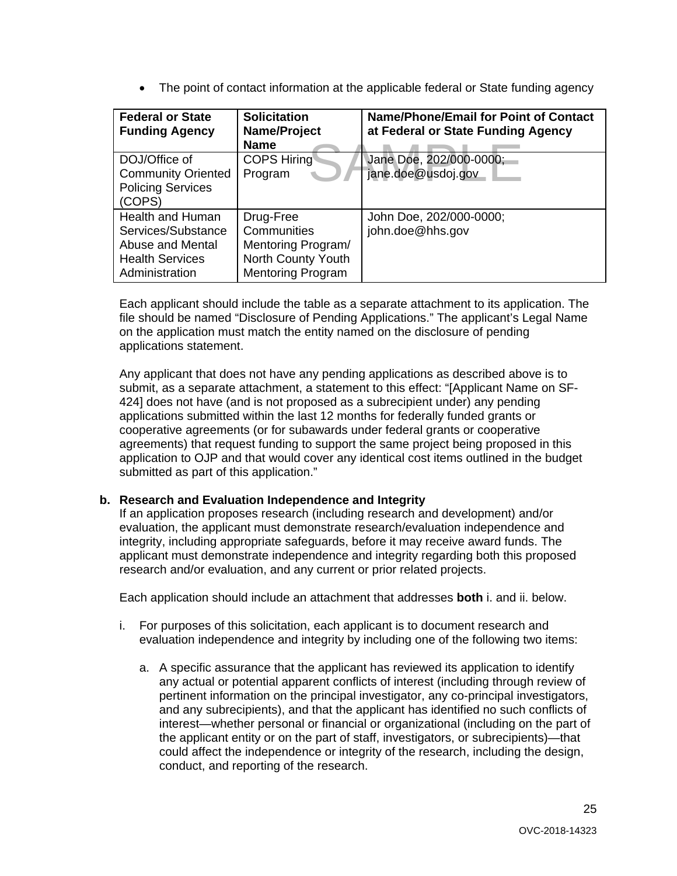• The point of contact information at the applicable federal or State funding agency

| <b>Federal or State</b><br><b>Funding Agency</b>                                                              | <b>Solicitation</b><br>Name/Project<br><b>Name</b>                                               | <b>Name/Phone/Email for Point of Contact</b><br>at Federal or State Funding Agency |
|---------------------------------------------------------------------------------------------------------------|--------------------------------------------------------------------------------------------------|------------------------------------------------------------------------------------|
| DOJ/Office of<br><b>Community Oriented</b><br><b>Policing Services</b><br>(COPS)                              | <b>COPS Hiring</b><br>Program                                                                    | Jane Doe, 202/000-0000;<br>jane.doe@usdoj.gov                                      |
| <b>Health and Human</b><br>Services/Substance<br>Abuse and Mental<br><b>Health Services</b><br>Administration | Drug-Free<br>Communities<br>Mentoring Program/<br>North County Youth<br><b>Mentoring Program</b> | John Doe, 202/000-0000;<br>john.doe@hhs.gov                                        |

Each applicant should include the table as a separate attachment to its application. The file should be named "Disclosure of Pending Applications." The applicant's Legal Name on the application must match the entity named on the disclosure of pending applications statement.

Any applicant that does not have any pending applications as described above is to submit, as a separate attachment, a statement to this effect: "[Applicant Name on SF-424] does not have (and is not proposed as a subrecipient under) any pending applications submitted within the last 12 months for federally funded grants or cooperative agreements (or for subawards under federal grants or cooperative agreements) that request funding to support the same project being proposed in this application to OJP and that would cover any identical cost items outlined in the budget submitted as part of this application."

# **b. Research and Evaluation Independence and Integrity**

If an application proposes research (including research and development) and/or evaluation, the applicant must demonstrate research/evaluation independence and integrity, including appropriate safeguards, before it may receive award funds. The applicant must demonstrate independence and integrity regarding both this proposed research and/or evaluation, and any current or prior related projects.

Each application should include an attachment that addresses **both** i. and ii. below.

- i. For purposes of this solicitation, each applicant is to document research and evaluation independence and integrity by including one of the following two items:
	- a. A specific assurance that the applicant has reviewed its application to identify any actual or potential apparent conflicts of interest (including through review of pertinent information on the principal investigator, any co-principal investigators, and any subrecipients), and that the applicant has identified no such conflicts of interest—whether personal or financial or organizational (including on the part of the applicant entity or on the part of staff, investigators, or subrecipients)—that could affect the independence or integrity of the research, including the design, conduct, and reporting of the research.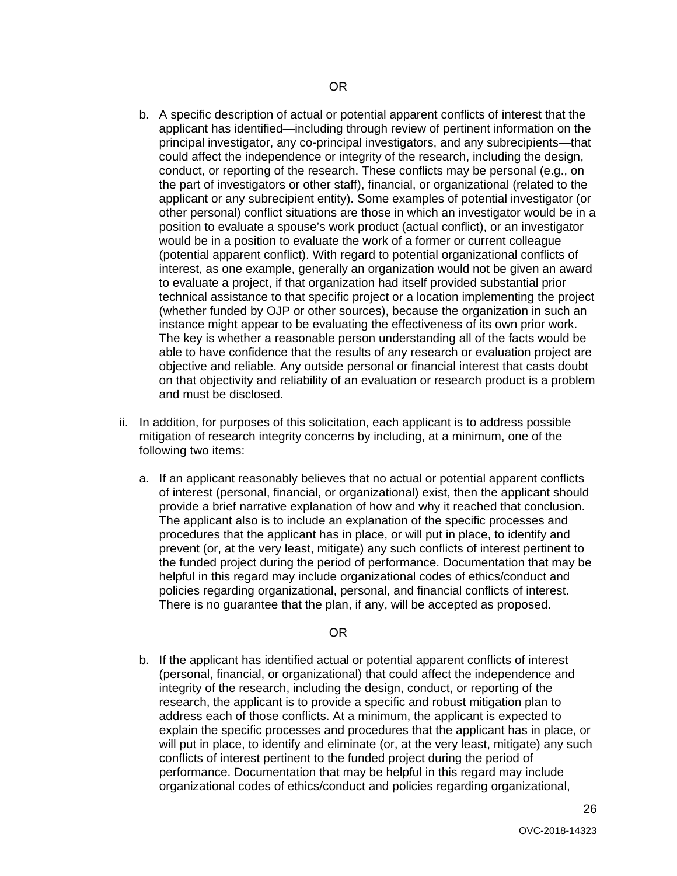- b. A specific description of actual or potential apparent conflicts of interest that the applicant has identified—including through review of pertinent information on the principal investigator, any co-principal investigators, and any subrecipients—that could affect the independence or integrity of the research, including the design, conduct, or reporting of the research. These conflicts may be personal (e.g., on the part of investigators or other staff), financial, or organizational (related to the applicant or any subrecipient entity). Some examples of potential investigator (or other personal) conflict situations are those in which an investigator would be in a position to evaluate a spouse's work product (actual conflict), or an investigator would be in a position to evaluate the work of a former or current colleague (potential apparent conflict). With regard to potential organizational conflicts of interest, as one example, generally an organization would not be given an award to evaluate a project, if that organization had itself provided substantial prior technical assistance to that specific project or a location implementing the project (whether funded by OJP or other sources), because the organization in such an instance might appear to be evaluating the effectiveness of its own prior work. The key is whether a reasonable person understanding all of the facts would be able to have confidence that the results of any research or evaluation project are objective and reliable. Any outside personal or financial interest that casts doubt on that objectivity and reliability of an evaluation or research product is a problem and must be disclosed.
- ii. In addition, for purposes of this solicitation, each applicant is to address possible mitigation of research integrity concerns by including, at a minimum, one of the following two items:
	- a. If an applicant reasonably believes that no actual or potential apparent conflicts of interest (personal, financial, or organizational) exist, then the applicant should provide a brief narrative explanation of how and why it reached that conclusion. The applicant also is to include an explanation of the specific processes and procedures that the applicant has in place, or will put in place, to identify and prevent (or, at the very least, mitigate) any such conflicts of interest pertinent to the funded project during the period of performance. Documentation that may be helpful in this regard may include organizational codes of ethics/conduct and policies regarding organizational, personal, and financial conflicts of interest. There is no guarantee that the plan, if any, will be accepted as proposed.

#### OR

b. If the applicant has identified actual or potential apparent conflicts of interest (personal, financial, or organizational) that could affect the independence and integrity of the research, including the design, conduct, or reporting of the research, the applicant is to provide a specific and robust mitigation plan to address each of those conflicts. At a minimum, the applicant is expected to explain the specific processes and procedures that the applicant has in place, or will put in place, to identify and eliminate (or, at the very least, mitigate) any such conflicts of interest pertinent to the funded project during the period of performance. Documentation that may be helpful in this regard may include organizational codes of ethics/conduct and policies regarding organizational,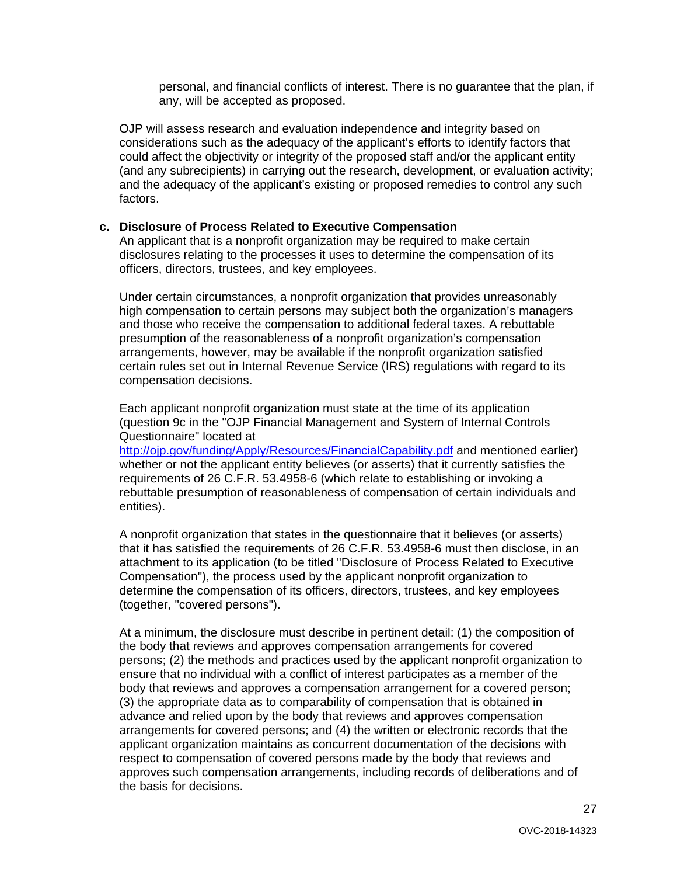personal, and financial conflicts of interest. There is no guarantee that the plan, if any, will be accepted as proposed.

OJP will assess research and evaluation independence and integrity based on considerations such as the adequacy of the applicant's efforts to identify factors that could affect the objectivity or integrity of the proposed staff and/or the applicant entity (and any subrecipients) in carrying out the research, development, or evaluation activity; and the adequacy of the applicant's existing or proposed remedies to control any such factors.

#### **c. Disclosure of Process Related to Executive Compensation**

An applicant that is a nonprofit organization may be required to make certain disclosures relating to the processes it uses to determine the compensation of its officers, directors, trustees, and key employees.

Under certain circumstances, a nonprofit organization that provides unreasonably high compensation to certain persons may subject both the organization's managers and those who receive the compensation to additional federal taxes. A rebuttable presumption of the reasonableness of a nonprofit organization's compensation arrangements, however, may be available if the nonprofit organization satisfied certain rules set out in Internal Revenue Service (IRS) regulations with regard to its compensation decisions.

Each applicant nonprofit organization must state at the time of its application (question 9c in the "OJP Financial Management and System of Internal Controls Questionnaire" located at

<http://ojp.gov/funding/Apply/Resources/FinancialCapability.pdf> and mentioned earlier) whether or not the applicant entity believes (or asserts) that it currently satisfies the requirements of 26 C.F.R. 53.4958-6 (which relate to establishing or invoking a rebuttable presumption of reasonableness of compensation of certain individuals and entities).

A nonprofit organization that states in the questionnaire that it believes (or asserts) that it has satisfied the requirements of 26 C.F.R. 53.4958-6 must then disclose, in an attachment to its application (to be titled "Disclosure of Process Related to Executive Compensation"), the process used by the applicant nonprofit organization to determine the compensation of its officers, directors, trustees, and key employees (together, "covered persons").

At a minimum, the disclosure must describe in pertinent detail: (1) the composition of the body that reviews and approves compensation arrangements for covered persons; (2) the methods and practices used by the applicant nonprofit organization to ensure that no individual with a conflict of interest participates as a member of the body that reviews and approves a compensation arrangement for a covered person; (3) the appropriate data as to comparability of compensation that is obtained in advance and relied upon by the body that reviews and approves compensation arrangements for covered persons; and (4) the written or electronic records that the applicant organization maintains as concurrent documentation of the decisions with respect to compensation of covered persons made by the body that reviews and approves such compensation arrangements, including records of deliberations and of the basis for decisions.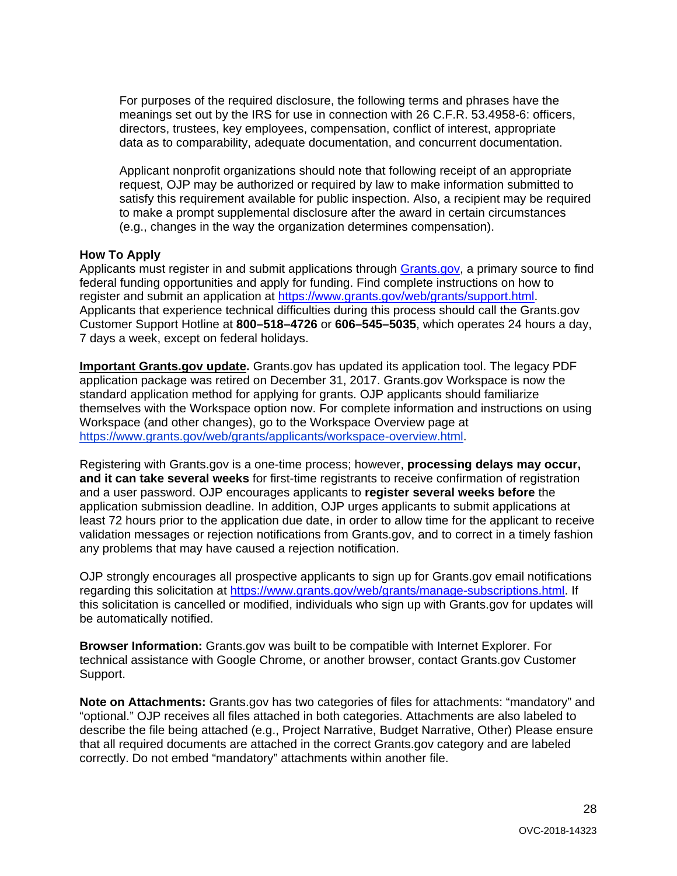For purposes of the required disclosure, the following terms and phrases have the meanings set out by the IRS for use in connection with 26 C.F.R. 53.4958-6: officers, directors, trustees, key employees, compensation, conflict of interest, appropriate data as to comparability, adequate documentation, and concurrent documentation.

Applicant nonprofit organizations should note that following receipt of an appropriate request, OJP may be authorized or required by law to make information submitted to satisfy this requirement available for public inspection. Also, a recipient may be required to make a prompt supplemental disclosure after the award in certain circumstances (e.g., changes in the way the organization determines compensation).

#### <span id="page-27-0"></span>**How To Apply**

Applicants must register in and submit applications through [Grants.gov,](https://www.grants.gov/) a primary source to find federal funding opportunities and apply for funding. Find complete instructions on how to register and submit an application at [https://www.grants.gov/web/grants/support.html.](https://www.grants.gov/web/grants/support.html) Applicants that experience technical difficulties during this process should call the Grants.gov Customer Support Hotline at **800–518–4726** or **606–545–5035**, which operates 24 hours a day, 7 days a week, except on federal holidays.

**Important Grants.gov update.** Grants.gov has updated its application tool. The legacy PDF application package was retired on December 31, 2017. Grants.gov Workspace is now the standard application method for applying for grants. OJP applicants should familiarize themselves with the Workspace option now. For complete information and instructions on using Workspace (and other changes), go to the Workspace Overview page at [https://www.grants.gov/web/grants/applicants/workspace-overview.html.](https://www.grants.gov/web/grants/applicants/workspace-overview.html)

Registering with Grants.gov is a one-time process; however, **processing delays may occur, and it can take several weeks** for first-time registrants to receive confirmation of registration and a user password. OJP encourages applicants to **register several weeks before** the application submission deadline. In addition, OJP urges applicants to submit applications at least 72 hours prior to the application due date, in order to allow time for the applicant to receive validation messages or rejection notifications from Grants.gov, and to correct in a timely fashion any problems that may have caused a rejection notification.

OJP strongly encourages all prospective applicants to sign up for Grants.gov email notifications regarding this solicitation at [https://www.grants.gov/web/grants/manage-subscriptions.html.](https://www.grants.gov/web/grants/manage-subscriptions.html) If this solicitation is cancelled or modified, individuals who sign up with Grants.gov for updates will be automatically notified.

**Browser Information:** Grants.gov was built to be compatible with Internet Explorer. For technical assistance with Google Chrome, or another browser, contact Grants.gov Customer Support.

**Note on Attachments:** Grants.gov has two categories of files for attachments: "mandatory" and "optional." OJP receives all files attached in both categories. Attachments are also labeled to describe the file being attached (e.g., Project Narrative, Budget Narrative, Other) Please ensure that all required documents are attached in the correct Grants.gov category and are labeled correctly. Do not embed "mandatory" attachments within another file.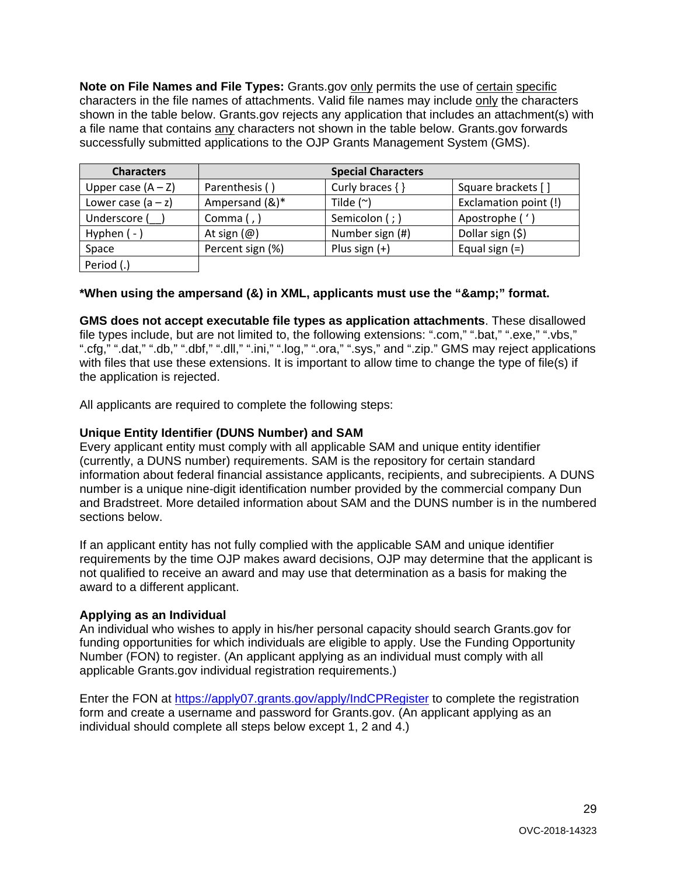**Note on File Names and File Types:** Grants.gov only permits the use of certain specific characters in the file names of attachments. Valid file names may include only the characters shown in the table below. Grants.gov rejects any application that includes an attachment(s) with a file name that contains any characters not shown in the table below. Grants.gov forwards successfully submitted applications to the OJP Grants Management System (GMS).

| <b>Characters</b>    |                         | <b>Special Characters</b> |                       |
|----------------------|-------------------------|---------------------------|-----------------------|
| Upper case $(A - Z)$ | Parenthesis ()          | Curly braces $\{\}$       | Square brackets []    |
| Lower case $(a - z)$ | Ampersand (&)*          | Tilde $(^\sim)$           | Exclamation point (!) |
| Underscore (         | Comma $($ , $)$         | Semicolon (; )            | Apostrophe ('         |
| Hyphen $(-)$         | At sign $(\varnothing)$ | Number sign (#)           | Dollar sign (\$)      |
| Space                | Percent sign (%)        | Plus sign $(+)$           | Equal sign $(=)$      |
| Period (.)           |                         |                           |                       |

# \*When using the ampersand (&) in XML, applicants must use the "&" format.

**GMS does not accept executable file types as application attachments**. These disallowed file types include, but are not limited to, the following extensions: ".com," ".bat," ".exe," ".vbs," ".cfg," ".dat," ".db," ".dbf," ".dll," ".ini," ".log," ".ora," ".sys," and ".zip." GMS may reject applications with files that use these extensions. It is important to allow time to change the type of file(s) if the application is rejected.

All applicants are required to complete the following steps:

#### **Unique Entity Identifier (DUNS Number) and SAM**

Every applicant entity must comply with all applicable SAM and unique entity identifier (currently, a DUNS number) requirements. SAM is the repository for certain standard information about federal financial assistance applicants, recipients, and subrecipients. A DUNS number is a unique nine-digit identification number provided by the commercial company Dun and Bradstreet. More detailed information about SAM and the DUNS number is in the numbered sections below.

If an applicant entity has not fully complied with the applicable SAM and unique identifier requirements by the time OJP makes award decisions, OJP may determine that the applicant is not qualified to receive an award and may use that determination as a basis for making the award to a different applicant.

# **Applying as an Individual**

An individual who wishes to apply in his/her personal capacity should search Grants.gov for funding opportunities for which individuals are eligible to apply. Use the Funding Opportunity Number (FON) to register. (An applicant applying as an individual must comply with all applicable Grants.gov individual registration requirements.)

Enter the FON at<https://apply07.grants.gov/apply/IndCPRegister> to complete the registration form and create a username and password for Grants.gov. (An applicant applying as an individual should complete all steps below except 1, 2 and 4.)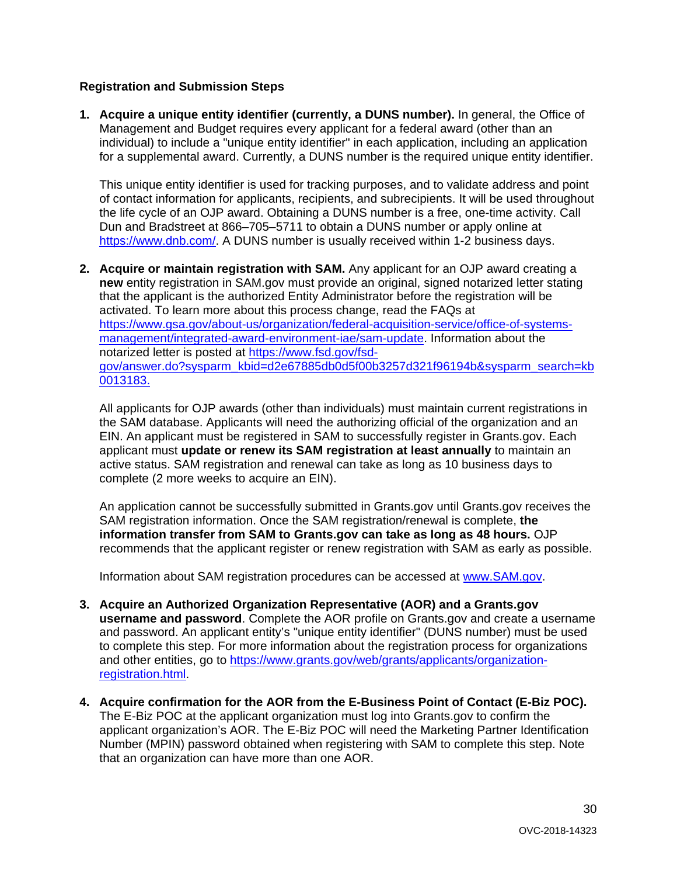# **Registration and Submission Steps**

**1. Acquire a unique entity identifier (currently, a DUNS number).** In general, the Office of Management and Budget requires every applicant for a federal award (other than an individual) to include a "unique entity identifier" in each application, including an application for a supplemental award. Currently, a DUNS number is the required unique entity identifier.

This unique entity identifier is used for tracking purposes, and to validate address and point of contact information for applicants, recipients, and subrecipients. It will be used throughout the life cycle of an OJP award. Obtaining a DUNS number is a free, one-time activity. Call Dun and Bradstreet at 866–705–5711 to obtain a DUNS number or apply online at [https://www.dnb.com/.](https://www.dnb.com/) A DUNS number is usually received within 1-2 business days.

**2. Acquire or maintain registration with SAM.** Any applicant for an OJP award creating a **new** entity registration in SAM.gov must provide an original, signed notarized letter stating that the applicant is the authorized Entity Administrator before the registration will be activated. To learn more about this process change, read the FAQs at [https://www.gsa.gov/about-us/organization/federal-acquisition-service/office-of-systems](https://www.gsa.gov/about-us/organization/federal-acquisition-service/office-of-systems-management/integrated-award-environment-iae/sam-update)[management/integrated-award-environment-iae/sam-update.](https://www.gsa.gov/about-us/organization/federal-acquisition-service/office-of-systems-management/integrated-award-environment-iae/sam-update) Information about the notarized letter is posted at [https://www.fsd.gov/fsd](https://www.fsd.gov/fsd-gov/answer.do?sysparm_kbid=d2e67885db0d5f00b3257d321f96194b&sysparm_search=kb0013183)[gov/answer.do?sysparm\\_kbid=d2e67885db0d5f00b3257d321f96194b&sysparm\\_search=kb](https://www.fsd.gov/fsd-gov/answer.do?sysparm_kbid=d2e67885db0d5f00b3257d321f96194b&sysparm_search=kb0013183) [0013183.](https://www.fsd.gov/fsd-gov/answer.do?sysparm_kbid=d2e67885db0d5f00b3257d321f96194b&sysparm_search=kb0013183)

All applicants for OJP awards (other than individuals) must maintain current registrations in the SAM database. Applicants will need the authorizing official of the organization and an EIN. An applicant must be registered in SAM to successfully register in Grants.gov. Each applicant must **update or renew its SAM registration at least annually** to maintain an active status. SAM registration and renewal can take as long as 10 business days to complete (2 more weeks to acquire an EIN).

An application cannot be successfully submitted in Grants.gov until Grants.gov receives the SAM registration information. Once the SAM registration/renewal is complete, **the information transfer from SAM to Grants.gov can take as long as 48 hours.** OJP recommends that the applicant register or renew registration with SAM as early as possible.

Information about SAM registration procedures can be accessed at [www.SAM.gov.](https://www.sam.gov/)

- **3. Acquire an Authorized Organization Representative (AOR) and a Grants.gov username and password**. Complete the AOR profile on Grants.gov and create a username and password. An applicant entity's "unique entity identifier" (DUNS number) must be used to complete this step. For more information about the registration process for organizations and other entities, go to [https://www.grants.gov/web/grants/applicants/organization](https://www.grants.gov/web/grants/applicants/organization-registration.html)[registration.html.](https://www.grants.gov/web/grants/applicants/organization-registration.html)
- **4. Acquire confirmation for the AOR from the E-Business Point of Contact (E-Biz POC).**  The E-Biz POC at the applicant organization must log into Grants.gov to confirm the applicant organization's AOR. The E-Biz POC will need the Marketing Partner Identification Number (MPIN) password obtained when registering with SAM to complete this step. Note that an organization can have more than one AOR.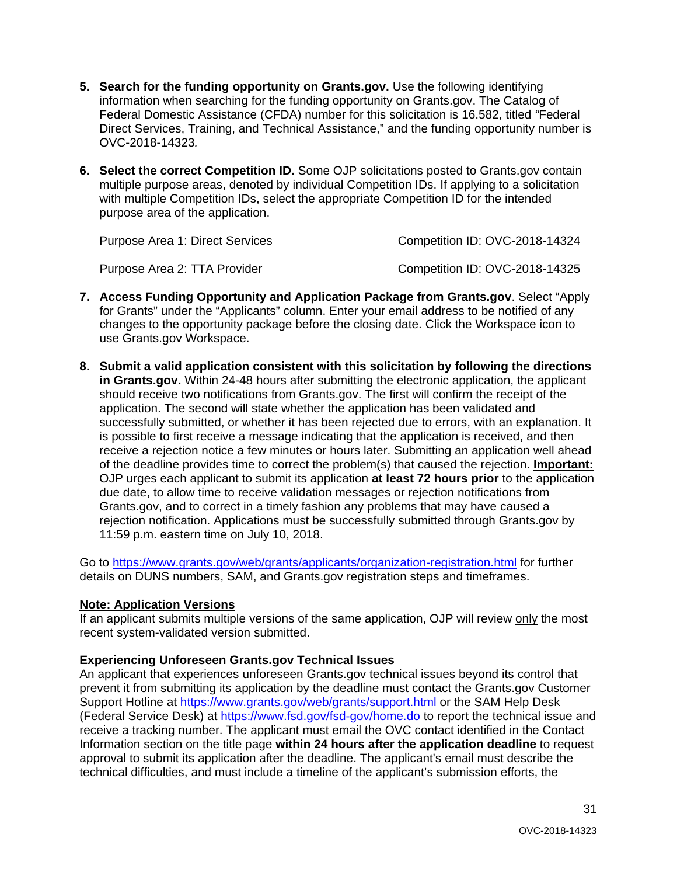- **5. Search for the funding opportunity on Grants.gov.** Use the following identifying information when searching for the funding opportunity on Grants.gov. The Catalog of Federal Domestic Assistance (CFDA) number for this solicitation is 16.582, titled *"*Federal Direct Services, Training, and Technical Assistance," and the funding opportunity number is OVC-2018-14323*.*
- **6. Select the correct Competition ID.** Some OJP solicitations posted to Grants.gov contain multiple purpose areas, denoted by individual Competition IDs. If applying to a solicitation with multiple Competition IDs, select the appropriate Competition ID for the intended purpose area of the application.

| Purpose Area 1: Direct Services | Competition ID: OVC-2018-14324 |
|---------------------------------|--------------------------------|
| Purpose Area 2: TTA Provider    | Competition ID: OVC-2018-14325 |

- **7. Access Funding Opportunity and Application Package from Grants.gov**. Select "Apply for Grants" under the "Applicants" column. Enter your email address to be notified of any changes to the opportunity package before the closing date. Click the Workspace icon to use Grants.gov Workspace.
- **8. Submit a valid application consistent with this solicitation by following the directions in Grants.gov.** Within 24-48 hours after submitting the electronic application, the applicant should receive two notifications from Grants.gov. The first will confirm the receipt of the application. The second will state whether the application has been validated and successfully submitted, or whether it has been rejected due to errors, with an explanation. It is possible to first receive a message indicating that the application is received, and then receive a rejection notice a few minutes or hours later. Submitting an application well ahead of the deadline provides time to correct the problem(s) that caused the rejection. **Important:** OJP urges each applicant to submit its application **at least 72 hours prior** to the application due date, to allow time to receive validation messages or rejection notifications from Grants.gov, and to correct in a timely fashion any problems that may have caused a rejection notification. Applications must be successfully submitted through Grants.gov by 11:59 p.m. eastern time on July 10, 2018.

Go to<https://www.grants.gov/web/grants/applicants/organization-registration.html> for further details on DUNS numbers, SAM, and Grants.gov registration steps and timeframes.

# **Note: Application Versions**

If an applicant submits multiple versions of the same application, OJP will review only the most recent system-validated version submitted.

# **Experiencing Unforeseen Grants.gov Technical Issues**

An applicant that experiences unforeseen Grants.gov technical issues beyond its control that prevent it from submitting its application by the deadline must contact the Grants.gov Customer Support Hotline at<https://www.grants.gov/web/grants/support.html> or the SAM Help Desk (Federal Service Desk) at<https://www.fsd.gov/fsd-gov/home.do> to report the technical issue and receive a tracking number. The applicant must email the OVC contact identified in the Contact Information section on the title page **within 24 hours after the application deadline** to request approval to submit its application after the deadline. The applicant's email must describe the technical difficulties, and must include a timeline of the applicant's submission efforts, the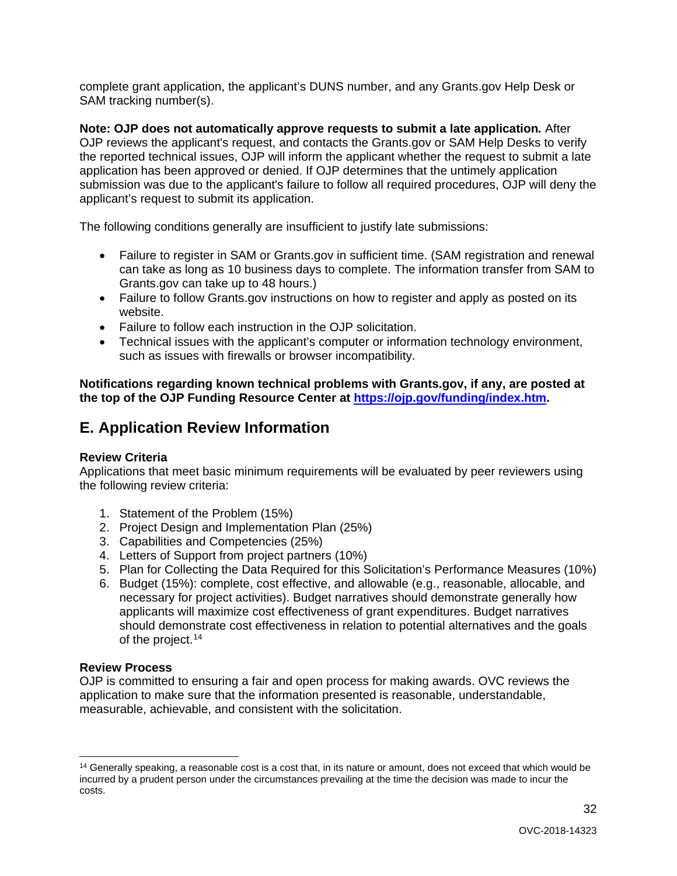complete grant application, the applicant's DUNS number, and any Grants.gov Help Desk or SAM tracking number(s).

**Note: OJP does not automatically approve requests to submit a late application***.* After OJP reviews the applicant's request, and contacts the Grants.gov or SAM Help Desks to verify the reported technical issues, OJP will inform the applicant whether the request to submit a late application has been approved or denied. If OJP determines that the untimely application submission was due to the applicant's failure to follow all required procedures, OJP will deny the applicant's request to submit its application.

The following conditions generally are insufficient to justify late submissions:

- Failure to register in SAM or Grants.gov in sufficient time. (SAM registration and renewal can take as long as 10 business days to complete. The information transfer from SAM to Grants.gov can take up to 48 hours.)
- Failure to follow Grants.gov instructions on how to register and apply as posted on its website.
- Failure to follow each instruction in the OJP solicitation.
- Technical issues with the applicant's computer or information technology environment, such as issues with firewalls or browser incompatibility.

**Notifications regarding known technical problems with Grants.gov, if any, are posted at the top of the OJP Funding Resource Center at [https://ojp.gov/funding/index.htm.](https://ojp.gov/funding/index.htm)**

# <span id="page-31-0"></span>**E. Application Review Information**

# <span id="page-31-1"></span>**Review Criteria**

Applications that meet basic minimum requirements will be evaluated by peer reviewers using the following review criteria:

- 1. Statement of the Problem (15%)
- 2. Project Design and Implementation Plan (25%)
- 3. Capabilities and Competencies (25%)
- 4. Letters of Support from project partners (10%)
- 5. Plan for Collecting the Data Required for this Solicitation's Performance Measures (10%)
- 6. Budget (15%): complete, cost effective, and allowable (e.g., reasonable, allocable, and necessary for project activities). Budget narratives should demonstrate generally how applicants will maximize cost effectiveness of grant expenditures. Budget narratives should demonstrate cost effectiveness in relation to potential alternatives and the goals of the project.<sup>[14](#page-31-3)</sup>

# <span id="page-31-2"></span>**Review Process**

OJP is committed to ensuring a fair and open process for making awards. OVC reviews the application to make sure that the information presented is reasonable, understandable, measurable, achievable, and consistent with the solicitation.

<span id="page-31-3"></span> $14$  Generally speaking, a reasonable cost is a cost that, in its nature or amount, does not exceed that which would be incurred by a prudent person under the circumstances prevailing at the time the decision was made to incur the costs.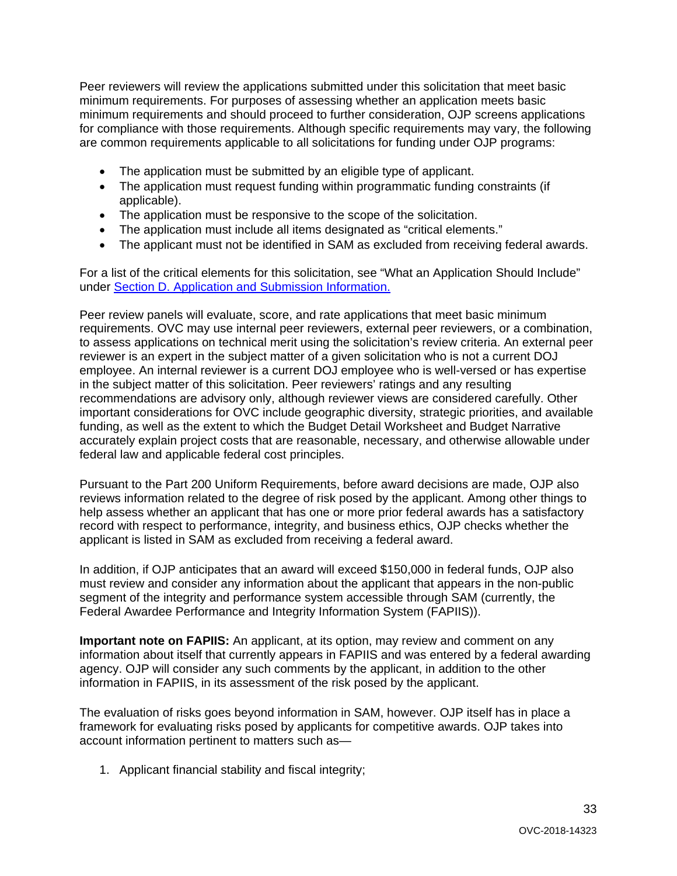Peer reviewers will review the applications submitted under this solicitation that meet basic minimum requirements. For purposes of assessing whether an application meets basic minimum requirements and should proceed to further consideration, OJP screens applications for compliance with those requirements. Although specific requirements may vary, the following are common requirements applicable to all solicitations for funding under OJP programs:

- The application must be submitted by an eligible type of applicant.
- The application must request funding within programmatic funding constraints (if applicable).
- The application must be responsive to the scope of the solicitation.
- The application must include all items designated as "critical elements."
- The applicant must not be identified in SAM as excluded from receiving federal awards.

For a list of the critical elements for this solicitation, see "What an Application Should Include" under [Section D. Application and Submission Information.](#page-14-0)

Peer review panels will evaluate, score, and rate applications that meet basic minimum requirements. OVC may use internal peer reviewers, external peer reviewers, or a combination, to assess applications on technical merit using the solicitation's review criteria. An external peer reviewer is an expert in the subject matter of a given solicitation who is not a current DOJ employee. An internal reviewer is a current DOJ employee who is well-versed or has expertise in the subject matter of this solicitation. Peer reviewers' ratings and any resulting recommendations are advisory only, although reviewer views are considered carefully. Other important considerations for OVC include geographic diversity, strategic priorities, and available funding, as well as the extent to which the Budget Detail Worksheet and Budget Narrative accurately explain project costs that are reasonable, necessary, and otherwise allowable under federal law and applicable federal cost principles.

Pursuant to the Part 200 Uniform Requirements, before award decisions are made, OJP also reviews information related to the degree of risk posed by the applicant. Among other things to help assess whether an applicant that has one or more prior federal awards has a satisfactory record with respect to performance, integrity, and business ethics, OJP checks whether the applicant is listed in SAM as excluded from receiving a federal award.

In addition, if OJP anticipates that an award will exceed \$150,000 in federal funds, OJP also must review and consider any information about the applicant that appears in the non-public segment of the integrity and performance system accessible through SAM (currently, the Federal Awardee Performance and Integrity Information System (FAPIIS)).

**Important note on FAPIIS:** An applicant, at its option, may review and comment on any information about itself that currently appears in FAPIIS and was entered by a federal awarding agency. OJP will consider any such comments by the applicant, in addition to the other information in FAPIIS, in its assessment of the risk posed by the applicant.

The evaluation of risks goes beyond information in SAM, however. OJP itself has in place a framework for evaluating risks posed by applicants for competitive awards. OJP takes into account information pertinent to matters such as—

1. Applicant financial stability and fiscal integrity;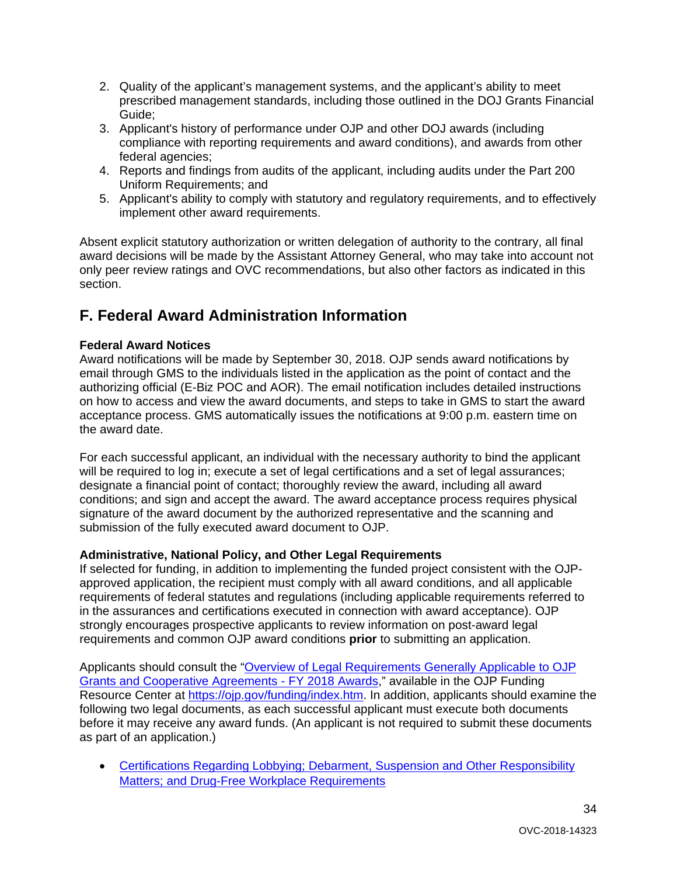- 2. Quality of the applicant's management systems, and the applicant's ability to meet prescribed management standards, including those outlined in the DOJ Grants Financial Guide;
- 3. Applicant's history of performance under OJP and other DOJ awards (including compliance with reporting requirements and award conditions), and awards from other federal agencies;
- 4. Reports and findings from audits of the applicant, including audits under the Part 200 Uniform Requirements; and
- 5. Applicant's ability to comply with statutory and regulatory requirements, and to effectively implement other award requirements.

Absent explicit statutory authorization or written delegation of authority to the contrary, all final award decisions will be made by the Assistant Attorney General, who may take into account not only peer review ratings and OVC recommendations, but also other factors as indicated in this section.

# <span id="page-33-0"></span>**F. Federal Award Administration Information**

# <span id="page-33-1"></span>**Federal Award Notices**

Award notifications will be made by September 30, 2018. OJP sends award notifications by email through GMS to the individuals listed in the application as the point of contact and the authorizing official (E-Biz POC and AOR). The email notification includes detailed instructions on how to access and view the award documents, and steps to take in GMS to start the award acceptance process. GMS automatically issues the notifications at 9:00 p.m. eastern time on the award date.

For each successful applicant, an individual with the necessary authority to bind the applicant will be required to log in; execute a set of legal certifications and a set of legal assurances; designate a financial point of contact; thoroughly review the award, including all award conditions; and sign and accept the award. The award acceptance process requires physical signature of the award document by the authorized representative and the scanning and submission of the fully executed award document to OJP.

# <span id="page-33-2"></span>**Administrative, National Policy, and Other Legal Requirements**

If selected for funding, in addition to implementing the funded project consistent with the OJPapproved application, the recipient must comply with all award conditions, and all applicable requirements of federal statutes and regulations (including applicable requirements referred to in the assurances and certifications executed in connection with award acceptance). OJP strongly encourages prospective applicants to review information on post-award legal requirements and common OJP award conditions **prior** to submitting an application.

Applicants should consult the ["Overview of Legal Requirements Generally Applicable to OJP](https://ojp.gov/funding/Explore/LegalOverview/index.htm)  [Grants and Cooperative Agreements - FY 2018 Awards,](https://ojp.gov/funding/Explore/LegalOverview/index.htm)" available in the OJP Funding Resource Center at https://oip.gov/funding/index.htm. In addition, applicants should examine the following two legal documents, as each successful applicant must execute both documents before it may receive any award funds. (An applicant is not required to submit these documents as part of an application.)

• [Certifications Regarding Lobbying; Debarment, Suspension and Other Responsibility](https://ojp.gov/funding/Apply/Resources/Certifications.pdf)  [Matters; and Drug-Free Workplace Requirements](https://ojp.gov/funding/Apply/Resources/Certifications.pdf)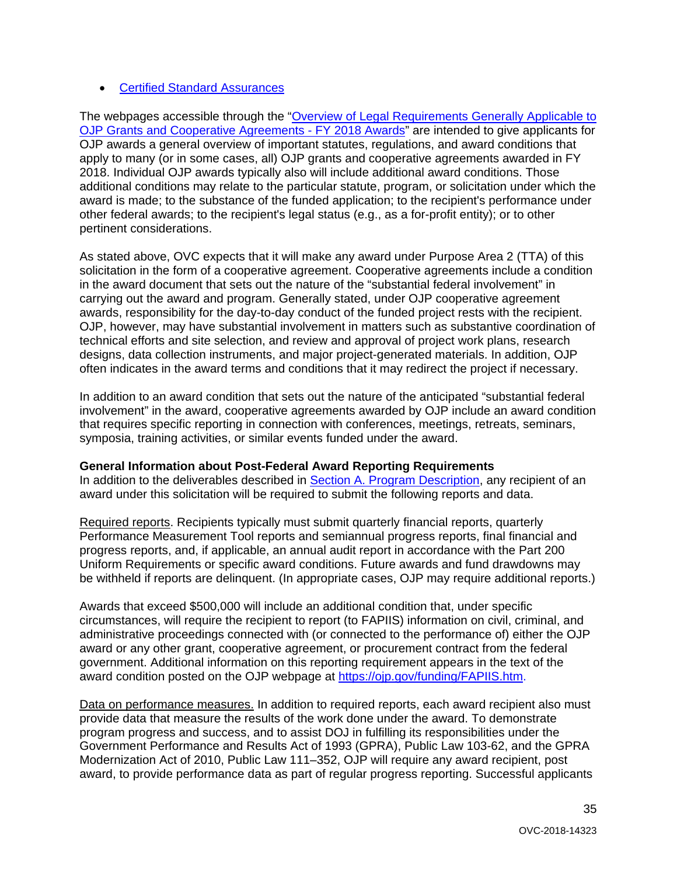# • [Certified Standard Assurances](https://ojp.gov/funding/Apply/Resources/StandardAssurances.pdf)

The webpages accessible through the ["Overview of Legal Requirements Generally Applicable to](https://ojp.gov/funding/Explore/LegalOverview/index.htm)  [OJP Grants and Cooperative Agreements -](https://ojp.gov/funding/Explore/LegalOverview/index.htm) FY 2018 Awards" are intended to give applicants for OJP awards a general overview of important statutes, regulations, and award conditions that apply to many (or in some cases, all) OJP grants and cooperative agreements awarded in FY 2018. Individual OJP awards typically also will include additional award conditions. Those additional conditions may relate to the particular statute, program, or solicitation under which the award is made; to the substance of the funded application; to the recipient's performance under other federal awards; to the recipient's legal status (e.g., as a for-profit entity); or to other pertinent considerations.

As stated above, OVC expects that it will make any award under Purpose Area 2 (TTA) of this solicitation in the form of a cooperative agreement. Cooperative agreements include a condition in the award document that sets out the nature of the "substantial federal involvement" in carrying out the award and program. Generally stated, under OJP cooperative agreement awards, responsibility for the day-to-day conduct of the funded project rests with the recipient. OJP, however, may have substantial involvement in matters such as substantive coordination of technical efforts and site selection, and review and approval of project work plans, research designs, data collection instruments, and major project-generated materials. In addition, OJP often indicates in the award terms and conditions that it may redirect the project if necessary.

In addition to an award condition that sets out the nature of the anticipated "substantial federal involvement" in the award, cooperative agreements awarded by OJP include an award condition that requires specific reporting in connection with conferences, meetings, retreats, seminars, symposia, training activities, or similar events funded under the award.

# <span id="page-34-0"></span>**General Information about Post-Federal Award Reporting Requirements**

In addition to the deliverables described in [Section A. Program Description,](#page-3-5) any recipient of an award under this solicitation will be required to submit the following reports and data.

Required reports. Recipients typically must submit quarterly financial reports, quarterly Performance Measurement Tool reports and semiannual progress reports, final financial and progress reports, and, if applicable, an annual audit report in accordance with the Part 200 Uniform Requirements or specific award conditions. Future awards and fund drawdowns may be withheld if reports are delinquent. (In appropriate cases, OJP may require additional reports.)

Awards that exceed \$500,000 will include an additional condition that, under specific circumstances, will require the recipient to report (to FAPIIS) information on civil, criminal, and administrative proceedings connected with (or connected to the performance of) either the OJP award or any other grant, cooperative agreement, or procurement contract from the federal government. Additional information on this reporting requirement appears in the text of the award condition posted on the OJP webpage at [https://ojp.gov/funding/FAPIIS.htm.](https://ojp.gov/funding/FAPIIS.htm)

Data on performance measures. In addition to required reports, each award recipient also must provide data that measure the results of the work done under the award. To demonstrate program progress and success, and to assist DOJ in fulfilling its responsibilities under the Government Performance and Results Act of 1993 (GPRA), Public Law 103-62, and the GPRA Modernization Act of 2010, Public Law 111–352, OJP will require any award recipient, post award, to provide performance data as part of regular progress reporting. Successful applicants

35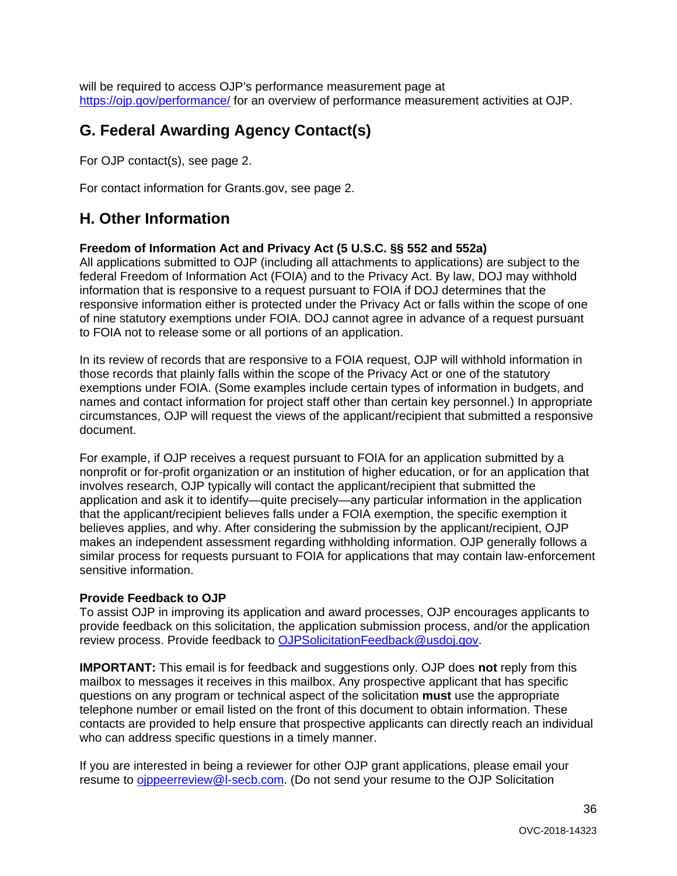will be required to access OJP's performance measurement page at <https://ojp.gov/performance/> for an overview of performance measurement activities at OJP.

# <span id="page-35-0"></span>**G. Federal Awarding Agency Contact(s)**

For OJP contact(s), see page 2.

For contact information for Grants.gov, see page 2.

# <span id="page-35-1"></span>**H. Other Information**

#### <span id="page-35-2"></span>**Freedom of Information Act and Privacy Act (5 U.S.C. §§ 552 and 552a)**

All applications submitted to OJP (including all attachments to applications) are subject to the federal Freedom of Information Act (FOIA) and to the Privacy Act. By law, DOJ may withhold information that is responsive to a request pursuant to FOIA if DOJ determines that the responsive information either is protected under the Privacy Act or falls within the scope of one of nine statutory exemptions under FOIA. DOJ cannot agree in advance of a request pursuant to FOIA not to release some or all portions of an application.

In its review of records that are responsive to a FOIA request, OJP will withhold information in those records that plainly falls within the scope of the Privacy Act or one of the statutory exemptions under FOIA. (Some examples include certain types of information in budgets, and names and contact information for project staff other than certain key personnel.) In appropriate circumstances, OJP will request the views of the applicant/recipient that submitted a responsive document.

For example, if OJP receives a request pursuant to FOIA for an application submitted by a nonprofit or for-profit organization or an institution of higher education, or for an application that involves research, OJP typically will contact the applicant/recipient that submitted the application and ask it to identify—quite precisely—any particular information in the application that the applicant/recipient believes falls under a FOIA exemption, the specific exemption it believes applies, and why. After considering the submission by the applicant/recipient, OJP makes an independent assessment regarding withholding information. OJP generally follows a similar process for requests pursuant to FOIA for applications that may contain law-enforcement sensitive information.

# <span id="page-35-3"></span>**Provide Feedback to OJP**

To assist OJP in improving its application and award processes, OJP encourages applicants to provide feedback on this solicitation, the application submission process, and/or the application review process. Provide feedback to [OJPSolicitationFeedback@usdoj.gov.](mailto:OJPSolicitationFeedback@usdoj.gov)

**IMPORTANT:** This email is for feedback and suggestions only. OJP does **not** reply from this mailbox to messages it receives in this mailbox. Any prospective applicant that has specific questions on any program or technical aspect of the solicitation **must** use the appropriate telephone number or email listed on the front of this document to obtain information. These contacts are provided to help ensure that prospective applicants can directly reach an individual who can address specific questions in a timely manner.

If you are interested in being a reviewer for other OJP grant applications, please email your resume to ojppeerreview@I-secb.com. (Do not send your resume to the OJP Solicitation

36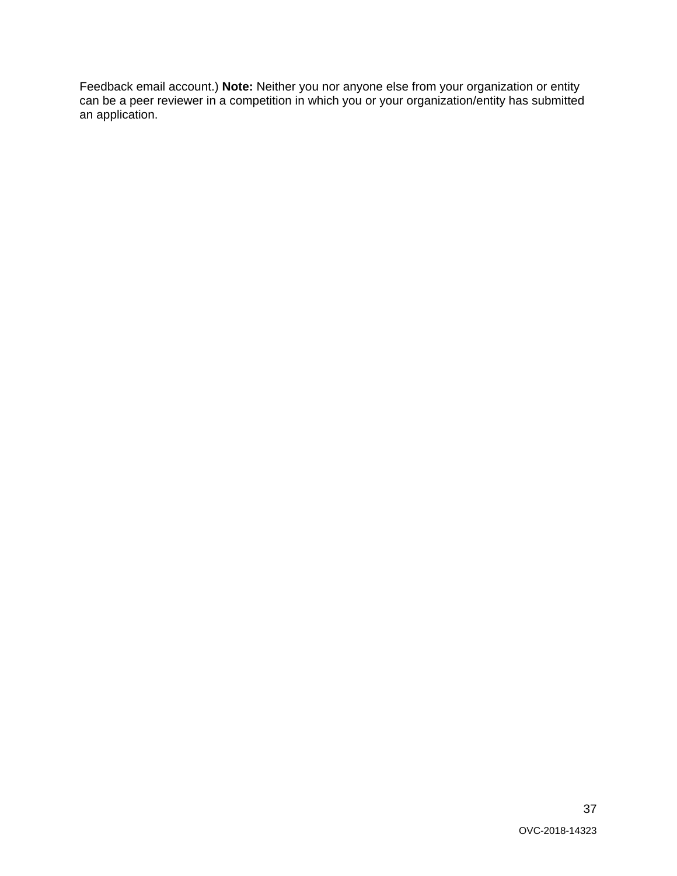Feedback email account.) **Note:** Neither you nor anyone else from your organization or entity can be a peer reviewer in a competition in which you or your organization/entity has submitted an application.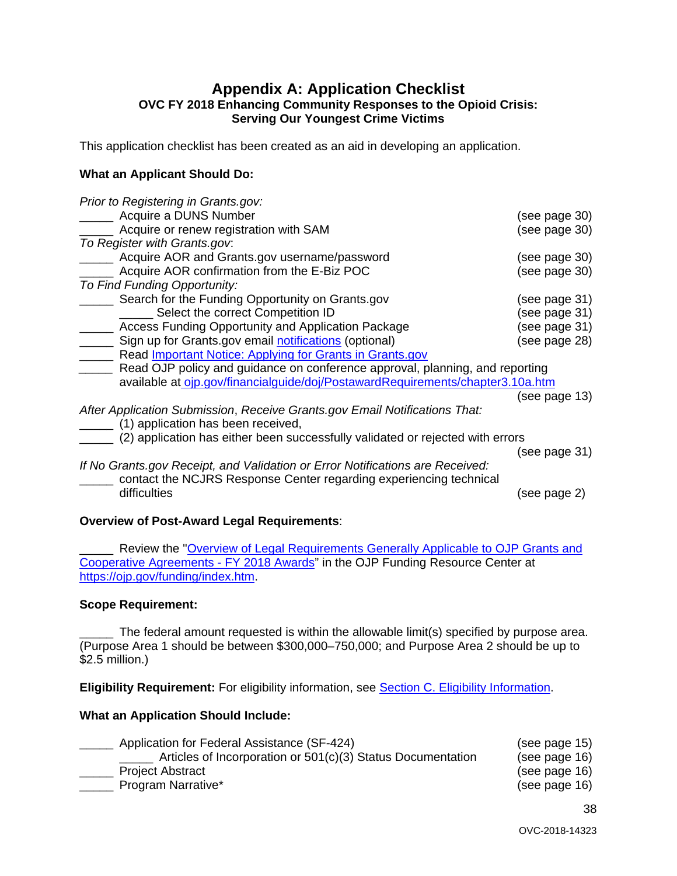# <span id="page-37-0"></span>**Appendix A: Application Checklist OVC FY 2018 Enhancing Community Responses to the Opioid Crisis: Serving Our Youngest Crime Victims**

This application checklist has been created as an aid in developing an application.

# **What an Applicant Should Do:**

| Prior to Registering in Grants.gov:                                            |               |
|--------------------------------------------------------------------------------|---------------|
| Acquire a DUNS Number                                                          | (see page 30) |
| Acquire or renew registration with SAM                                         | (see page 30) |
| To Register with Grants.gov.                                                   |               |
| Acquire AOR and Grants.gov username/password                                   | (see page 30) |
| Acquire AOR confirmation from the E-Biz POC                                    | (see page 30) |
| To Find Funding Opportunity:                                                   |               |
| Search for the Funding Opportunity on Grants.gov                               | (see page 31) |
| Select the correct Competition ID                                              | (see page 31) |
| Access Funding Opportunity and Application Package                             | (see page 31) |
| Sign up for Grants.gov email notifications (optional)                          | (see page 28) |
| Read Important Notice: Applying for Grants in Grants.gov                       |               |
| Read OJP policy and guidance on conference approval, planning, and reporting   |               |
| available at oip.gov/financialguide/doj/PostawardRequirements/chapter3.10a.htm |               |
|                                                                                | (see page 13) |
| After Application Submission, Receive Grants.gov Email Notifications That:     |               |
| (1) application has been received,                                             |               |
| (2) application has either been successfully validated or rejected with errors |               |
|                                                                                | (see page 31) |
| If No Grants.gov Receipt, and Validation or Error Notifications are Received:  |               |
| contact the NCJRS Response Center regarding experiencing technical             |               |
| difficulties                                                                   | (see page 2)  |
|                                                                                |               |
|                                                                                |               |

# **Overview of Post-Award Legal Requirements**:

Review the "Overview of Legal Requirements Generally Applicable to OJP Grants and [Cooperative Agreements -](https://ojp.gov/funding/Explore/LegalOverview/index.htm) FY 2018 Awards" in the OJP Funding Resource Center at [https://ojp.gov/funding/index.htm.](https://ojp.gov/funding/index.htm)

#### **Scope Requirement:**

The federal amount requested is within the allowable limit(s) specified by purpose area. (Purpose Area 1 should be between \$300,000–750,000; and Purpose Area 2 should be up to \$2.5 million.)

**Eligibility Requirement:** For eligibility information, see **Section C. Eligibility Information**.

# **What an Application Should Include:**

| Application for Federal Assistance (SF-424)                 | (see page 15) |
|-------------------------------------------------------------|---------------|
| Articles of Incorporation or 501(c)(3) Status Documentation | (see page 16) |
| <b>Project Abstract</b>                                     | (see page 16) |
| Program Narrative*                                          | (see page 16) |
|                                                             |               |

38